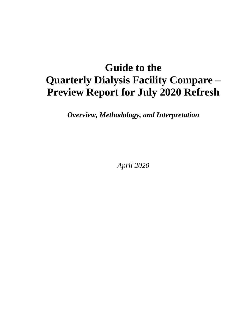# **Guide to the Quarterly Dialysis Facility Compare – Preview Report for July 2020 Refresh**

*Overview, Methodology, and Interpretation*

*April 2020*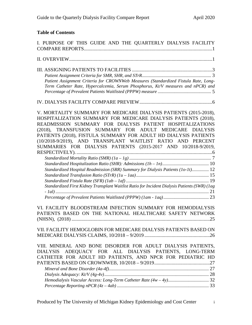# **Table of Contents**

| I. PURPOSE OF THIS GUIDE AND THE QUARTERLY DIALYSIS FACILITY                                                                                                                                                                                                                                                                                                                                                                                                                                                                                                                                                                                                  |
|---------------------------------------------------------------------------------------------------------------------------------------------------------------------------------------------------------------------------------------------------------------------------------------------------------------------------------------------------------------------------------------------------------------------------------------------------------------------------------------------------------------------------------------------------------------------------------------------------------------------------------------------------------------|
|                                                                                                                                                                                                                                                                                                                                                                                                                                                                                                                                                                                                                                                               |
| Patient Assignment Criteria for CROWNWeb Measures (Standardized Fistula Rate, Long-<br>Term Catheter Rate, Hypercalcemia, Serum Phosphorus, Kt/V measures and nPCR) and                                                                                                                                                                                                                                                                                                                                                                                                                                                                                       |
|                                                                                                                                                                                                                                                                                                                                                                                                                                                                                                                                                                                                                                                               |
| V. MORTALITY SUMMARY FOR MEDICARE DIALYSIS PATIENTS (2015-2018),<br>HOSPITALIZATION SUMMARY FOR MEDICARE DIALYSIS PATIENTS (2018),<br>READMISSION SUMMARY FOR DIALYSIS PATIENT HOSPITALIZATIONS<br>(2018), TRANSFUSION SUMMARY FOR ADULT MEDICARE<br><b>DIALYSIS</b><br>PATIENTS (2018), FISTULA SUMMARY FOR ADULT HD DIALYSIS PATIENTS<br>(10/2018-9/2019), AND TRANSPLANT WAITLIST RATIO AND PERCENT<br>SUMMARIES FOR DIALYSIS PATIENTS (2015-2017 AND 10/2018-9/2019,<br>Standardized Hospital Readmission (SRR) Summary for Dialysis Patients (10-1t) 12<br>Standardized First Kidney Transplant Waitlist Ratio for Incident Dialysis Patients (SWR) (lag |
| VI. FACILITY BLOODSTREAM INFECTION SUMMARY FOR HEMODIALYSIS<br>PATIENTS BASED ON THE NATIONAL HEALTHCARE SAFETY NETWORK                                                                                                                                                                                                                                                                                                                                                                                                                                                                                                                                       |
| VII. FACILITY HEMOGLOBIN FOR MEDICARE DIALYSIS PATIENTS BASED ON                                                                                                                                                                                                                                                                                                                                                                                                                                                                                                                                                                                              |
| VIII. MINERAL AND BONE DISORDER FOR ADULT DIALYSIS PATIENTS,<br>ADEQUACY FOR ALL DIALYSIS PATIENTS, LONG-TERM<br><b>DIALYSIS</b><br>CATHETER FOR ADULT HD PATIENTS, AND NPCR FOR PEDIATRIC HD                                                                                                                                                                                                                                                                                                                                                                                                                                                                 |
|                                                                                                                                                                                                                                                                                                                                                                                                                                                                                                                                                                                                                                                               |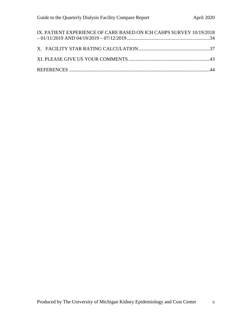| IX. PATIENT EXPERIENCE OF CARE BASED ON ICH CAHPS SURVEY 10/19/2018 |  |
|---------------------------------------------------------------------|--|
|                                                                     |  |
|                                                                     |  |
|                                                                     |  |
|                                                                     |  |
|                                                                     |  |
|                                                                     |  |
|                                                                     |  |
|                                                                     |  |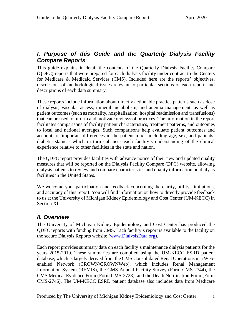# <span id="page-3-0"></span>*I. Purpose of this Guide and the Quarterly Dialysis Facility Compare Reports*

This guide explains in detail the contents of the Quarterly Dialysis Facility Compare (QDFC) reports that were prepared for each dialysis facility under contract to the Centers for Medicare & Medicaid Services (CMS). Included here are the reports' objectives, discussions of methodological issues relevant to particular sections of each report, and descriptions of each data summary.

These reports include information about directly actionable practice patterns such as dose of dialysis, vascular access, mineral metabolism, and anemia management, as well as patient outcomes (such as mortality, hospitalization, hospital readmission and transfusions) that can be used to inform and motivate reviews of practices. The information in the report facilitates comparisons of facility patient characteristics, treatment patterns, and outcomes to local and national averages. Such comparisons help evaluate patient outcomes and account for important differences in the patient mix - including age, sex, and patients' diabetic status - which in turn enhances each facility's understanding of the clinical experience relative to other facilities in the state and nation.

The QDFC report provides facilities with advance notice of their new and updated quality measures that will be reported on the Dialysis Facility Compare (DFC) website, allowing dialysis patients to review and compare characteristics and quality information on dialysis facilities in the United States.

We welcome your participation and feedback concerning the clarity, utility, limitations, and accuracy of this report. You will find information on how to directly provide feedback to us at the University of Michigan Kidney Epidemiology and Cost Center (UM-KECC) in Section XI.

# <span id="page-3-1"></span>*II. Overview*

The University of Michigan Kidney Epidemiology and Cost Center has produced the QDFC reports with funding from CMS. Each facility's report is available to the facility on the secure Dialysis Reports website [\(www.DialysisData.org\)](http://www.dialysisdata.org/).

Each report provides summary data on each facility's maintenance dialysis patients for the years 2015-2019. These summaries are compiled using the UM-KECC ESRD patient database, which is largely derived from the CMS Consolidated Renal Operations in a Webenabled Network (CROWN/CROWNWeb), which includes Renal Management Information System (REMIS), the CMS Annual Facility Survey (Form CMS-2744), the CMS Medical Evidence Form (Form CMS-2728), and the Death Notification Form (Form CMS-2746). The UM-KECC ESRD patient database also includes data from Medicare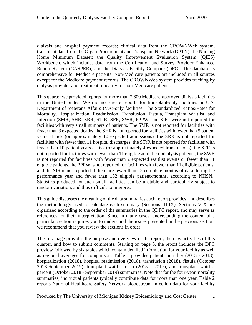dialysis and hospital payment records; clinical data from the CROWNWeb system, transplant data from the Organ Procurement and Transplant Network (OPTN), the Nursing Home Minimum Dataset; the Quality Improvement Evaluation System (QIES) Workbench, which includes data from the Certification and Survey Provider Enhanced Report System (CASPER); and the Dialysis Facility Compare (DFC). The database is comprehensive for Medicare patients. Non-Medicare patients are included in all sources except for the Medicare payment records. The CROWNWeb system provides tracking by dialysis provider and treatment modality for non-Medicare patients.

This quarter we provided reports for more than 7,600 Medicare-approved dialysis facilities in the United States. We did not create reports for transplant-only facilities or U.S. Department of Veterans Affairs (VA)-only facilities. The Standardized Ratios/Rates for Mortality, Hospitalization, Readmission, Transfusion, Fistula, Transplant Waitlist, and Infection (SMR, SHR, SRR, STrR, SFR, SWR, PPPW, and SIR) were not reported for facilities with very small numbers of patients. The SMR is not reported for facilities with fewer than 3 expected deaths, the SHR is not reported for facilities with fewer than 5 patient years at risk (or approximately 10 expected admissions), the SRR is not reported for facilities with fewer than 11 hospital discharges, the STrR is not reported for facilities with fewer than 10 patient years at risk (or approximately 4 expected transfusions), the SFR is not reported for facilities with fewer than 11 eligible adult hemodialysis patients, the SWR is not reported for facilities with fewer than 2 expected waitlist events or fewer than 11 eligible patients, the PPPW is not reported for facilities with fewer than 11 eligible patients, and the SIR is not reported if there are fewer than 12 complete months of data during the performance year and fewer than 132 eligible patient-months, according to NHSN.. Statistics produced for such small facilities can be unstable and particularly subject to random variation, and thus difficult to interpret.

This guide discusses the meaning of the data summaries each report provides, and describes the methodology used to calculate each summary (Sections III-IX). Sections V-X are organized according to the order of the summaries in the QDFC report, and may serve as references for their interpretation. Since in many cases, understanding the content of a particular section requires you to understand the issues presented in the previous section, we recommend that you review the sections in order.

The first page provides the purpose and overview of the report, the new activities of this quarter, and how to submit comments. Starting on page 3, the report includes the DFC preview followed by six tables which contain detailed information for your facility as well as regional averages for comparison. Table 1 provides patient mortality (2015 - 2018), hospitalization (2018), hospital readmission (2018), transfusion (2018), fistula (October 2018-September 2019), transplant waitlist ratio (2015 – 2017), and transplant waitlist percent (October 2018 - September 2019) summaries. Note that for the four-year mortality summaries, individual patients typically contribute data for more than one year. Table 2 reports National Healthcare Safety Network bloodstream infection data for your facility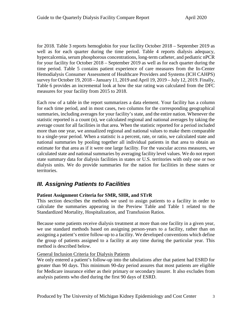for 2018. Table 3 reports hemoglobin for your facility October 2018 – September 2019 as well as for each quarter during the time period. Table 4 reports dialysis adequacy, hypercalcemia, serum phosphorous concentrations, long-term catheter, and pediatric nPCR for your facility for October 2018 – September 2019 as well as for each quarter during the time period. Table 5 contains patient experience of care measures from the In-Center Hemodialysis Consumer Assessment of Healthcare Providers and Systems (ICH CAHPS) survey for October 19, 2018 – January 11, 2019 and April 19, 2019 – July 12, 2019. Finally, Table 6 provides an incremental look at how the star rating was calculated from the DFC measures for your facility from 2015 to 2018.

Each row of a table in the report summarizes a data element. Your facility has a column for each time period, and in most cases, two columns for the corresponding geographical summaries, including averages for your facility's state, and the entire nation. Whenever the statistic reported is a count (n), we calculated regional and national averages by taking the average count for all facilities in that area. When the statistic reported for a period included more than one year, we annualized regional and national values to make them comparable to a single-year period. When a statistic is a percent, rate, or ratio, we calculated state and national summaries by pooling together all individual patients in that area to obtain an estimate for that area as if it were one large facility. For the vascular access measures, we calculated state and national summaries by averaging facility level values. We do not report state summary data for dialysis facilities in states or U.S. territories with only one or two dialysis units. We do provide summaries for the nation for facilities in these states or territories.

# <span id="page-5-0"></span>*III. Assigning Patients to Facilities*

# <span id="page-5-1"></span>**Patient Assignment Criteria for SMR, SHR, and STrR**

This section describes the methods we used to assign patients to a facility in order to calculate the summaries appearing in the Preview Table and Table 1 related to the Standardized Mortality, Hospitalization, and Transfusion Ratios.

Because some patients receive dialysis treatment at more than one facility in a given year, we use standard methods based on assigning person-years to a facility, rather than on assigning a patient's entire follow-up to a facility. We developed conventions which define the group of patients assigned to a facility at any time during the particular year. This method is described below.

### General Inclusion Criteria for Dialysis Patients

We only entered a patient's follow-up into the tabulations after that patient had ESRD for greater than 90 days. This minimum 90-day period assures that most patients are eligible for Medicare insurance either as their primary or secondary insurer. It also excludes from analysis patients who died during the first 90 days of ESRD.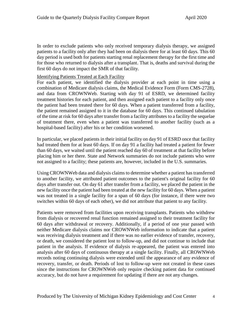In order to exclude patients who only received temporary dialysis therapy, we assigned patients to a facility only after they had been on dialysis there for at least 60 days. This 60 day period is used both for patients starting renal replacement therapy for the first time and for those who returned to dialysis after a transplant. That is, deaths and survival during the first 60 days do not impact the SMR of that facility.

### Identifying Patients Treated at Each Facility

For each patient, we identified the dialysis provider at each point in time using a combination of Medicare dialysis claims, the Medical Evidence Form (Form CMS-2728), and data from CROWNWeb. Starting with day 91 of ESRD, we determined facility treatment histories for each patient, and then assigned each patient to a facility only once the patient had been treated there for 60 days. When a patient transferred from a facility, the patient remained assigned to it in the database for 60 days. This continued tabulation of the time at risk for 60 days after transfer from a facility attributes to a facility the sequelae of treatment there, even when a patient was transferred to another facility (such as a hospital-based facility) after his or her condition worsened.

In particular, we placed patients in their initial facility on day 91 of ESRD once that facility had treated them for at least 60 days. If on day 91 a facility had treated a patient for fewer than 60 days, we waited until the patient reached day 60 of treatment at that facility before placing him or her there. State and Network summaries do not include patients who were not assigned to a facility; these patients are, however, included in the U.S. summaries.

Using CROWNWeb data and dialysis claims to determine whether a patient has transferred to another facility, we attributed patient outcomes to the patient's original facility for 60 days after transfer out. On day 61 after transfer from a facility, we placed the patient in the new facility once the patient had been treated at the new facility for 60 days. When a patient was not treated in a single facility for a span of 60 days (for instance, if there were two switches within 60 days of each other), we did not attribute that patient to any facility.

Patients were removed from facilities upon receiving transplants. Patients who withdrew from dialysis or recovered renal function remained assigned to their treatment facility for 60 days after withdrawal or recovery. Additionally, if a period of one year passed with neither Medicare dialysis claims nor CROWNWeb information to indicate that a patient was receiving dialysis treatment and if there was no earlier evidence of transfer, recovery, or death, we considered the patient lost to follow-up, and did not continue to include that patient in the analysis. If evidence of dialysis re-appeared, the patient was entered into analysis after 60 days of continuous therapy at a single facility. Finally, all CROWNWeb records noting continuing dialysis were extended until the appearance of any evidence of recovery, transfer, or death. Periods of lost to follow-up were not created in these cases since the instructions for CROWNWeb only require checking patient data for continued accuracy, but do not have a requirement for updating if there are not any changes.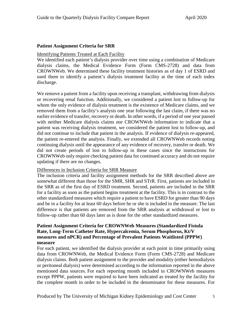### <span id="page-7-0"></span>**Patient Assignment Criteria for SRR**

### Identifying Patients Treated at Each Facility

We identified each patient's dialysis provider over time using a combination of Medicare dialysis claims, the Medical Evidence Form (Form CMS-2728) and data from CROWNWeb. We determined these facility treatment histories as of day 1 of ESRD and used them to identify a patient's dialysis treatment facility at the time of each index discharge.

We remove a patient from a facility upon receiving a transplant, withdrawing from dialysis or recovering renal function. Additionally, we considered a patient lost to follow-up for whom the only evidence of dialysis treatment is the existence of Medicare claims, and we removed them from a facility's analysis one year following the last claim, if there was no earlier evidence of transfer, recovery or death. In other words, if a period of one year passed with neither Medicare dialysis claims nor CROWNWeb information to indicate that a patient was receiving dialysis treatment, we considered the patient lost to follow-up, and did not continue to include that patient in the analysis. If evidence of dialysis re-appeared, the patient re-entered the analysis. Finally, we extended all CROWNWeb records noting continuing dialysis until the appearance of any evidence of recovery, transfer or death. We did not create periods of lost to follow-up in these cases since the instructions for CROWNWeb only require checking patient data for continued accuracy and do not require updating if there are no changes.

### Differences in Inclusion Criteria for SRR Measure

The inclusion criteria and facility assignment methods for the SRR described above are somewhat different than those for the SMR, SHR and STrR. First, patients are included in the SRR as of the first day of ESRD treatment. Second, patients are included in the SRR for a facility as soon as the patient begins treatment at the facility. This is in contrast to the other standardized measures which require a patient to have ESRD for greater than 90 days and be in a facility for at least 60 days before he or she is included in the measure. The last difference is that patients are removed from the SRR analysis at withdrawal or lost to follow-up rather than 60 days later as is done for the other standardized measures.

# **Patient Assignment Criteria for CROWNWeb Measures (Standardized Fistula Rate, Long-Term Catheter Rate, Hypercalcemia, Serum Phosphorus, Kt/V measures and nPCR) and Percentage of Prevalent Patients Waitlisted (PPPW) measure**

For each patient, we identified the dialysis provider at each point in time primarily using data from CROWNWeb, the Medical Evidence Form (Form CMS-2728) and Medicare dialysis claims. Both patient assignment to the provider and modality (either hemodialysis or peritoneal dialysis) were determined according to the information reported in the above mentioned data sources. For each reporting month included in CROWNWeb measures except PPPW, patients were required to have been indicated as treated by the facility for the complete month in order to be included in the denominator for these measures. For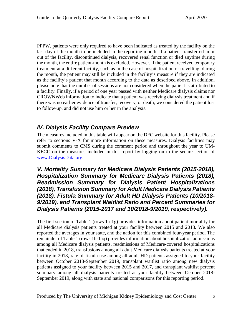PPPW, patients were only required to have been indicated as treated by the facility on the last day of the month to be included in the reporting month. If a patient transferred in or out of the facility, discontinued dialysis, recovered renal function or died anytime during the month, the entire patient-month is excluded. However, if the patient received temporary treatment at a different facility, such as in the case of hospitalization or travelling, during the month, the patient may still be included in the facility's measure if they are indicated as the facility's patient that month according to the data as described above. In addition, please note that the number of sessions are not considered when the patient is attributed to a facility. Finally, if a period of one year passed with neither Medicare dialysis claims nor CROWNWeb information to indicate that a patient was receiving dialysis treatment and if there was no earlier evidence of transfer, recovery, or death, we considered the patient lost to follow-up, and did not use him or her in the analysis.

# <span id="page-8-0"></span>*IV. Dialysis Facility Compare Preview*

The measures included in this table will appear on the DFC website for this facility. Please refer to sections V-X for more information on these measures. Dialysis facilities may submit comments to CMS during the comment period and throughout the year to UM-KECC on the measures included in this report by logging on to the secure section of [www.DialysisData.org.](http://www.dialysisdata.org/)

<span id="page-8-1"></span>*V. Mortality Summary for Medicare Dialysis Patients (2015-2018), Hospitalization Summary for Medicare Dialysis Patients (2018), Readmission Summary for Dialysis Patient Hospitalizations (2018), Transfusion Summary for Adult Medicare Dialysis Patients (2018), Fistula Summary for Adult HD Dialysis Patients (10/2018- 9/2019), and Transplant Waitlist Ratio and Percent Summaries for Dialysis Patients (2015-2017 and 10/2018-9/2019, respectively).* 

The first section of Table 1 (rows 1a-1g) provides information about patient mortality for all Medicare dialysis patients treated at your facility between 2015 and 2018. We also reported the averages in your state, and the nation for this combined four-year period. The remainder of Table 1 (rows 1h-1aq) provides information about hospitalization admissions among all Medicare dialysis patients, readmissions of Medicare-covered hospitalizations that ended in 2018, transfusions among all adult Medicare dialysis patients treated at your facility in 2018, rate of fistula use among all adult HD patients assigned to your facility between October 2018-September 2019, transplant waitlist ratio among new dialysis patients assigned to your facility between 2015 and 2017, and transplant waitlist percent summary among all dialysis patients treated at your facility between October 2018- September 2019, along with state and national comparisons for this reporting period.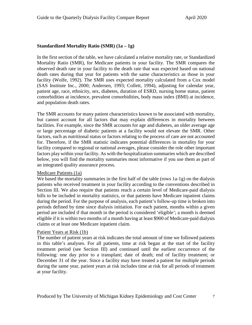# <span id="page-9-0"></span>**Standardized Mortality Ratio (SMR) (1a – 1g)**

In the first section of the table, we have calculated a relative mortality rate, or Standardized Mortality Ratio (SMR), for Medicare patients in your facility. The SMR compares the observed death rate in your facility to the death rate that was expected based on national death rates during that year for patients with the same characteristics as those in your facility (Wolfe, 1992). The SMR uses expected mortality calculated from a Cox model (SAS Institute Inc., 2000; Andersen, 1993; Collett, 1994), adjusting for calendar year, patient age, race, ethnicity, sex, diabetes, duration of ESRD, nursing home status, patient comorbidities at incidence, prevalent comorbidities, body mass index (BMI) at incidence, and population death rates.

The SMR accounts for many patient characteristics known to be associated with mortality, but cannot account for all factors that may explain differences in mortality between facilities. For example, since the SMR accounts for age and diabetes, an older average age or large percentage of diabetic patients at a facility would not elevate the SMR. Other factors, such as nutritional status or factors relating to the process of care are not accounted for. Therefore, if the SMR statistic indicates potential differences in mortality for your facility compared to regional or national averages, please consider the role other important factors play within your facility. As with the hospitalization summaries which are described below, you will find the mortality summaries most informative if you use them as part of an integrated quality assurance process.

### Medicare Patients (1a)

We based the mortality summaries in the first half of the table (rows 1a-1g) on the dialysis patients who received treatment in your facility according to the conventions described in Section III. We also require that patients reach a certain level of Medicare-paid dialysis bills to be included in mortality statistics, or that patients have Medicare inpatient claims during the period. For the purpose of analysis, each patient's follow-up time is broken into periods defined by time since dialysis initiation. For each patient, months within a given period are included if that month in the period is considered 'eligible'; a month is deemed eligible if it is within two months of a month having at least \$900 of Medicare-paid dialysis claims or at least one Medicare inpatient claim.

#### Patient Years at Risk (1b)

The number of patient years at risk indicates the total amount of time we followed patients in this table's analyses. For all patients, time at risk began at the start of the facility treatment period (see Section III) and continued until the earliest occurrence of the following: one day prior to a transplant; date of death; end of facility treatment; or December 31 of the year. Since a facility may have treated a patient for multiple periods during the same year, patient years at risk includes time at risk for all periods of treatment at your facility.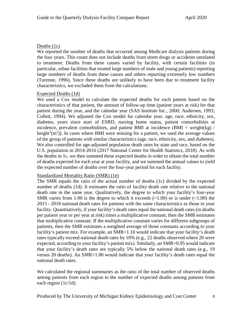# Deaths (1c)

We reported the number of deaths that occurred among Medicare dialysis patients during the four years. This count does not include deaths from street drugs or accidents unrelated to treatment. Deaths from these causes varied by facility, with certain facilities (in particular, urban facilities that treated large numbers of male and young patients) reporting large numbers of deaths from these causes and others reporting extremely low numbers (Turenne, 1996). Since these deaths are unlikely to have been due to treatment facility characteristics, we excluded them from the calculations.

# Expected Deaths (1d)

We used a Cox model to calculate the expected deaths for each patient based on the characteristics of that patient, the amount of follow-up time (patient years at risk) for that patient during the year, and the calendar year (SAS Institute Inc., 2000; Andersen, 1993; Collett, 1994). We adjusted the Cox model for calendar year, age, race, ethnicity, sex, diabetes, years since start of ESRD, nursing home status, patient comorbidities at incidence, prevalent comorbidities, and patient BMI at incidence (BMI = weight(kg) / height<sup>2</sup>(m<sup>2</sup>)). In cases where BMI were missing for a patient, we used the average values of the group of patients with similar characteristics (age, race, ethnicity, sex, and diabetes). We also controlled for age-adjusted population death rates by state and race, based on the U.S. population in 2014-2016 (2017 National Center for Health Statistics, 2018). As with the deaths in 1c, we then summed these expected deaths in order to obtain the total number of deaths expected for each year at your facility, and we summed the annual values to yield the expected number of deaths over the four-year period for each facility.

### Standardized Mortality Ratio (SMR) (1e)

The SMR equals the ratio of the actual number of deaths (1c) divided by the expected number of deaths (1d). It estimates the ratio of facility death rate relative to the national death rate in the same year. Qualitatively, the degree to which your facility's four-year SMR varies from 1.00 is the degree to which it exceeds  $(>1.00)$  or is under  $(<1.00)$  the 2015 - 2018 national death rates for patients with the same characteristics as those in your facility. Quantitatively, if your facility's death rates equal the national death rates (in deaths per patient year or per year at risk) times a multiplicative constant, then the SMR estimates that multiplicative constant. If the multiplicative constant varies for different subgroups of patients, then the SMR estimates a weighted average of those constants according to your facility's patient mix. For example, an SMR=1.10 would indicate that your facility's death rates typically exceed national death rates by 10% (e.g., 22 deaths observed where 20 were expected, according to your facility's patient mix). Similarly, an SMR=0.95 would indicate that your facility's death rates are typically 5% below the national death rates (e.g., 19 versus 20 deaths). An SMR=1.00 would indicate that your facility's death rates equal the national death rates.

We calculated the regional summaries as the ratio of the total number of observed deaths among patients from each region to the number of expected deaths among patients from each region (1c/1d).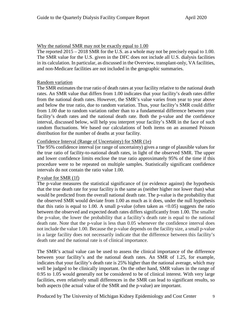# Why the national SMR may not be exactly equal to 1.00

The reported  $2015 - 2018$  SMR for the U.S. as a whole may not be precisely equal to 1.00. The SMR value for the U.S. given in the DFC does not include all U.S. dialysis facilities in its calculation. In particular, as discussed in the Overview, transplant-only, VA facilities, and non-Medicare facilities are not included in the geographic summaries.

### Random variation

The SMR estimates the true ratio of death rates at your facility relative to the national death rates. An SMR value that differs from 1.00 indicates that your facility's death rates differ from the national death rates. However, the SMR's value varies from year to year above and below the true ratio, due to random variation. Thus, your facility's SMR could differ from 1.00 due to random variation rather than to a fundamental difference between your facility's death rates and the national death rate. Both the p-value and the confidence interval, discussed below, will help you interpret your facility's SMR in the face of such random fluctuations. We based our calculations of both items on an assumed Poisson distribution for the number of deaths at your facility.

# Confidence Interval (Range of Uncertainty) for SMR (1e)

The 95% confidence interval (or range of uncertainty) gives a range of plausible values for the true ratio of facility-to-national death rates, in light of the observed SMR. The upper and lower confidence limits enclose the true ratio approximately 95% of the time if this procedure were to be repeated on multiple samples. Statistically significant confidence intervals do not contain the ratio value 1.00.

### P-value for SMR (1f)

The p-value measures the statistical significance of (or evidence against) the hypothesis that the true death rate for your facility is the same as (neither higher nor lower than) what would be predicted from the overall national death rate. The p-value is the probability that the observed SMR would deviate from 1.00 as much as it does, under the null hypothesis that this ratio is equal to 1.00. A small p-value (often taken as  $\langle 0.05 \rangle$ ) suggests the ratio between the observed and expected death rates differs significantly from 1.00. The smaller the p-value, the lower the probability that a facility's death rate is equal to the national death rate. Note that the p-value is less than 0.05 whenever the confidence interval does not include the value 1.00. Because the p-value depends on the facility size, a small p-value in a large facility does not necessarily indicate that the difference between this facility's death rate and the national rate is of clinical importance.

The SMR's actual value can be used to assess the clinical importance of the difference between your facility's and the national death rates. An SMR of 1.25, for example, indicates that your facility's death rate is 25% higher than the national average, which may well be judged to be clinically important. On the other hand, SMR values in the range of 0.95 to 1.05 would generally not be considered to be of clinical interest. With very large facilities, even relatively small differences in the SMR can lead to significant results, so both aspects (the actual value of the SMR and the p-value) are important.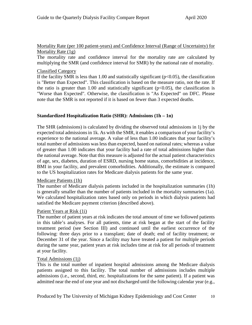# Mortality Rate (per 100 patient-years) and Confidence Interval (Range of Uncertainty) for Mortality Rate (1g)

The mortality rate and confidence interval for the mortality rate are calculated by multiplying the SMR (and confidence interval for SMR) by the national rate of mortality.

# Classified Category

If the facility SMR is less than 1.00 and statistically significant ( $p<0.05$ ), the classification is "Better than Expected". This classification is based on the measure ratio, not the rate. If the ratio is greater than 1.00 and statistically significant  $(p<0.05)$ , the classification is "Worse than Expected". Otherwise, the classification is "As Expected" on DFC. Please note that the SMR is not reported if it is based on fewer than 3 expected deaths.

# <span id="page-12-0"></span>**Standardized Hospitalization Ratio (SHR): Admissions (1h – 1n)**

The SHR (admissions) is calculated by dividing the observed total admissions in 1j by the expected total admissions in 1k. As with the SMR, it enables a comparison of your facility's experience to the national average. A value of less than 1.00 indicates that your facility's total number of admissions was less than expected, based on national rates; whereas a value of greater than 1.00 indicates that your facility had a rate of total admissions higher than the national average. Note that this measure is adjusted for the actual patient characteristics of age, sex, diabetes, duration of ESRD, nursing home status, comorbidities at incidence, BMI in your facility, and prevalent comorbidities. Additionally, the estimate is compared to the US hospitalization rates for Medicare dialysis patients for the same year.

### Medicare Patients (1h)

The number of Medicare dialysis patients included in the hospitalization summaries (1h) is generally smaller than the number of patients included in the mortality summaries (1a). We calculated hospitalization rates based only on periods in which dialysis patients had satisfied the Medicare payment criterion (described above).

### Patient Years at Risk (1i)

The number of patient years at risk indicates the total amount of time we followed patients in this table's analyses. For all patients, time at risk began at the start of the facility treatment period (see Section III) and continued until the earliest occurrence of the following: three days prior to a transplant; date of death; end of facility treatment; or December 31 of the year. Since a facility may have treated a patient for multiple periods during the same year, patient years at risk includes time at risk for all periods of treatment at your facility.

### Total Admissions (1j)

This is the total number of inpatient hospital admissions among the Medicare dialysis patients assigned to this facility. The total number of admissions includes multiple admissions (i.e., second, third, etc. hospitalizations for the same patient). If a patient was admitted near the end of one year and not discharged until the following calendar year (e.g.,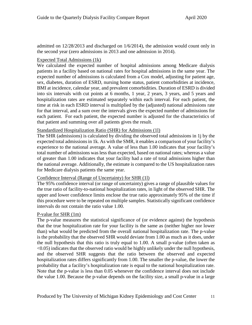admitted on 12/28/2013 and discharged on 1/6/2014), the admission would count only in the second year (zero admissions in 2013 and one admission in 2014).

# Expected Total Admissions (1k)

We calculated the expected number of hospital admissions among Medicare dialysis patients in a facility based on national rates for hospital admissions in the same year. The expected number of admissions is calculated from a Cox model, adjusting for patient age, sex, diabetes, duration of ESRD, nursing home status, patient comorbidities at incidence, BMI at incidence, calendar year, and prevalent comorbidities. Duration of ESRD is divided into six intervals with cut points at 6 months, 1 year, 2 years, 3 years, and 5 years and hospitalization rates are estimated separately within each interval. For each patient, the time at risk in each ESRD interval is multiplied by the (adjusted) national admissions rate for that interval, and a sum over the intervals gives the expected number of admissions for each patient. For each patient, the expected number is adjusted for the characteristics of that patient and summing over all patients gives the result.

### Standardized Hospitalization Ratio (SHR) for Admissions (1l)

The SHR (admissions) is calculated by dividing the observed total admissions in 1j by the expected total admissions in 1k. As with the SMR, it enables a comparison of your facility's experience to the national average. A value of less than 1.00 indicates that your facility's total number of admissions was less than expected, based on national rates; whereas a value of greater than 1.00 indicates that your facility had a rate of total admissions higher than the national average. Additionally, the estimate is compared to the US hospitalization rates for Medicare dialysis patients the same year.

### Confidence Interval (Range of Uncertainty) for SHR (1l)

The 95% confidence interval (or range of uncertainty) gives a range of plausible values for the true ratio of facility-to-national hospitalization rates, in light of the observed SHR. The upper and lower confidence limits enclose the true ratio approximately 95% of the time if this procedure were to be repeated on multiple samples. Statistically significant confidence intervals do not contain the ratio value 1.00.

### P-value for SHR (1m)

The p-value measures the statistical significance of (or evidence against) the hypothesis that the true hospitalization rate for your facility is the same as (neither higher nor lower than) what would be predicted from the overall national hospitalization rate. The p-value is the probability that the observed SHR would deviate from 1.00 as much as it does, under the null hypothesis that this ratio is truly equal to 1.00. A small p-value (often taken as <0.05) indicates that the observed ratio would be highly unlikely under the null hypothesis, and the observed SHR suggests that the ratio between the observed and expected hospitalization rates differs significantly from 1.00. The smaller the p-value, the lower the probability that a facility's hospitalization rate is equal to the national hospitalization rate. Note that the p-value is less than 0.05 whenever the confidence interval does not include the value 1.00. Because the p-value depends on the facility size, a small p-value in a large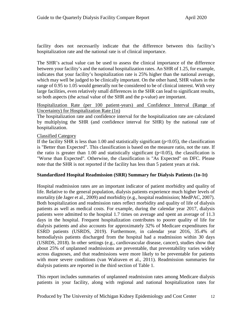facility does not necessarily indicate that the difference between this facility's hospitalization rate and the national rate is of clinical importance.

The SHR's actual value can be used to assess the clinical importance of the difference between your facility's and the national hospitalization rates. An SHR of 1.25, for example, indicates that your facility's hospitalization rate is 25% higher than the national average, which may well be judged to be clinically important. On the other hand, SHR values in the range of 0.95 to 1.05 would generally not be considered to be of clinical interest. With very large facilities, even relatively small differences in the SHR can lead to significant results, so both aspects (the actual value of the SHR and the p-value) are important.

Hospitalization Rate (per 100 patient-years) and Confidence Interval (Range of Uncertainty) for Hospitalization Rate (1n)

The hospitalization rate and confidence interval for the hospitalization rate are calculated by multiplying the SHR (and confidence interval for SHR) by the national rate of hospitalization.

# Classified Category

If the facility SHR is less than 1.00 and statistically significant ( $p<0.05$ ), the classification is "Better than Expected". This classification is based on the measure ratio, not the rate. If the ratio is greater than 1.00 and statistically significant ( $p<0.05$ ), the classification is "Worse than Expected". Otherwise, the classification is "As Expected" on DFC. Please note that the SHR is not reported if the facility has less than 5 patient years at risk.

### <span id="page-14-0"></span>**Standardized Hospital Readmission (SRR) Summary for Dialysis Patients (1o-1t)**

Hospital readmission rates are an important indicator of patient morbidity and quality of life. Relative to the general population, dialysis patients experience much higher levels of mortality (de Jager et al., 2009) and morbidity (e.g., hospital readmission; MedPAC, 2007). Both hospitalization and readmission rates reflect morbidity and quality of life of dialysis patients as well as medical costs. For example, during the calendar year 2017, dialysis patients were admitted to the hospital 1.7 times on average and spent an average of 11.3 days in the hospital. Frequent hospitalization contributes to poorer quality of life for dialysis patients and also accounts for approximately 32% of Medicare expenditures for ESRD patients (USRDS, 2019). Furthermore, in calendar year 2016, 35.4% of hemodialysis patients discharged from the hospital had a readmission within 30 days (USRDS, 2018). In other settings (e.g., cardiovascular disease, cancer), studies show that about 25% of unplanned readmissions are preventable, that preventability varies widely across diagnoses, and that readmissions were more likely to be preventable for patients with more severe conditions (van Walraven et al., 2011). Readmission summaries for dialysis patients are reported in the third section of Table 1.

This report includes summaries of unplanned readmission rates among Medicare dialysis patients in your facility, along with regional and national hospitalization rates for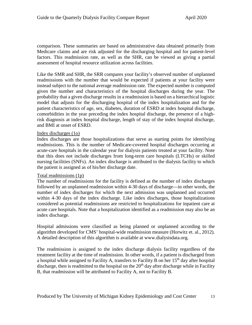comparison. These summaries are based on administrative data obtained primarily from Medicare claims and are risk adjusted for the discharging hospital and for patient-level factors. This readmission rate, as well as the SHR, can be viewed as giving a partial assessment of hospital resource utilization across facilities.

Like the SMR and SHR, the SRR compares your facility's observed number of unplanned readmissions with the number that would be expected if patients at your facility were instead subject to the national average readmission rate. The expected number is computed given the number and characteristics of the hospital discharges during the year. The probability that a given discharge results in a readmission is based on a hierarchical logistic model that adjusts for the discharging hospital of the index hospitalization and for the patient characteristics of age, sex, diabetes, duration of ESRD at index hospital discharge, comorbidities in the year preceding the index hospital discharge, the presence of a highrisk diagnosis at index hospital discharge, length of stay of the index hospital discharge, and BMI at onset of ESRD.

### Index discharges (1o)

Index discharges are those hospitalizations that serve as starting points for identifying readmissions. This is the number of Medicare-covered hospital discharges occurring at acute-care hospitals in the calendar year for dialysis patients treated at your facility. Note that this does not include discharges from long-term care hospitals (LTCHs) or skilled nursing facilities (SNFs). An index discharge is attributed to the dialysis facility to which the patient is assigned as of his/her discharge date.

### Total readmissions (1p)

The number of readmissions for the facility is defined as the number of index discharges followed by an unplanned readmission within 4-30 days of discharge—in other words, the number of index discharges for which the next admission was unplanned and occurred within 4-30 days of the index discharge. Like index discharges, those hospitalizations considered as potential readmissions are restricted to hospitalizations for inpatient care at acute care hospitals. Note that a hospitalization identified as a readmission may also be an index discharge.

Hospital admissions were classified as being planned or unplanned according to the algorithm developed for CMS' hospital-wide readmission measure (Horwitz et. al., 2012). A detailed description of this algorithm is available at www.dialysisdata.org.

The readmission is assigned to the index discharge dialysis facility regardless of the treatment facility at the time of readmission. In other words, if a patient is discharged from a hospital while assigned to Facility A, transfers to Facility B on her 15<sup>th</sup> day after hospital discharge, then is readmitted to the hospital on the  $20<sup>th</sup>$  day after discharge while in Facility B, that readmission will be attributed to Facility A, not to Facility B.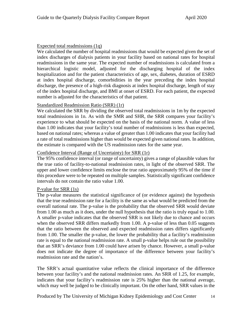# Expected total readmissions (1q)

We calculated the number of hospital readmissions that would be expected given the set of index discharges of dialysis patients in your facility based on national rates for hospital readmissions in the same year. The expected number of readmissions is calculated from a hierarchical logistic model, adjusted for the discharging hospital of the index hospitalization and for the patient characteristics of age, sex, diabetes, duration of ESRD at index hospital discharge, comorbidities in the year preceding the index hospital discharge, the presence of a high-risk diagnosis at index hospital discharge, length of stay of the index hospital discharge, and BMI at onset of ESRD. For each patient, the expected number is adjusted for the characteristics of that patient.

### Standardized Readmission Ratio (SRR) (1r)

We calculated the SRR by dividing the observed total readmissions in 1m by the expected total readmissions in 1n. As with the SMR and SHR, the SRR compares your facility's experience to what should be expected on the basis of the national norm. A value of less than 1.00 indicates that your facility's total number of readmissions is less than expected, based on national rates; whereas a value of greater than 1.00 indicates that your facility had a rate of total readmissions higher than would be expected given national rates. In addition, the estimate is compared with the US readmission rates for the same year.

# Confidence Interval (Range of Uncertainty) for SRR (1r)

The 95% confidence interval (or range of uncertainty) gives a range of plausible values for the true ratio of facility-to-national readmission rates, in light of the observed SRR. The upper and lower confidence limits enclose the true ratio approximately 95% of the time if this procedure were to be repeated on multiple samples. Statistically significant confidence intervals do not contain the ratio value 1.00.

### P-value for SRR (1s)

The p-value measures the statistical significance of (or evidence against) the hypothesis that the true readmission rate for a facility is the same as what would be predicted from the overall national rate. The p-value is the probability that the observed SRR would deviate from 1.00 as much as it does, under the null hypothesis that the ratio is truly equal to 1.00. A smaller p-value indicates that the observed SRR is not likely due to chance and occurs when the observed SRR differs markedly from 1.00. A p-value of less than 0.05 suggests that the ratio between the observed and expected readmission rates differs significantly from 1.00. The smaller the p-value, the lower the probability that a facility's readmission rate is equal to the national readmission rate. A small p-value helps rule out the possibility that an SRR's deviance from 1.00 could have arisen by chance. However, a small p-value does not indicate the degree of importance of the difference between your facility's readmission rate and the nation's.

The SRR's actual quantitative value reflects the clinical importance of the difference between your facility's and the national readmission rates. An SRR of 1.25, for example, indicates that your facility's readmission rate is 25% higher than the national average, which may well be judged to be clinically important. On the other hand, SRR values in the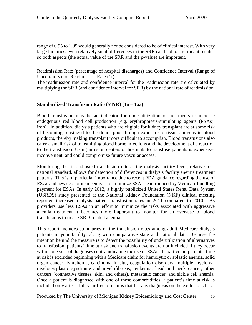range of 0.95 to 1.05 would generally not be considered to be of clinical interest. With very large facilities, even relatively small differences in the SRR can lead to significant results, so both aspects (the actual value of the SRR and the p-value) are important.

### Readmission Rate (percentage of hospital discharges) and Confidence Interval (Range of Uncertainty) for Readmission Rate (1t)

The readmission rate and confidence interval for the readmission rate are calculated by multiplying the SRR (and confidence interval for SRR) by the national rate of readmission.

### <span id="page-17-0"></span>**Standardized Transfusion Ratio (STrR) (1u – 1aa)**

Blood transfusion may be an indicator for underutilization of treatments to increase endogenous red blood cell production (e.g. erythropoiesis-stimulating agents (ESAs), iron). In addition, dialysis patients who are eligible for kidney transplant are at some risk of becoming sensitized to the donor pool through exposure to tissue antigens in blood products, thereby making transplant more difficult to accomplish. Blood transfusions also carry a small risk of transmitting blood borne infections and the development of a reaction to the transfusion. Using infusion centers or hospitals to transfuse patients is expensive, inconvenient, and could compromise future vascular access.

Monitoring the risk-adjusted transfusion rate at the dialysis facility level, relative to a national standard, allows for detection of differences in dialysis facility anemia treatment patterns. This is of particular importance due to recent FDA guidance regarding the use of ESAs and new economic incentives to minimize ESA use introduced by Medicare bundling payment for ESAs. In early 2012, a highly publicized United States Renal Data System (USRDS) study presented at the National Kidney Foundation (NKF) clinical meeting reported increased dialysis patient transfusion rates in 2011 compared to 2010. As providers use less ESAs in an effort to minimize the risks associated with aggressive anemia treatment it becomes more important to monitor for an over-use of blood transfusions to treat ESRD-related anemia.

This report includes summaries of the transfusion rates among adult Medicare dialysis patients in your facility, along with comparative state and national data. Because the intention behind the measure is to detect the possibility of underutilization of alternatives to transfusion, patients' time at risk and transfusion events are not included if they occur within one year of diagnoses contraindicating the use of ESAs. In particular, patients' time at risk is excluded beginning with a Medicare claim for hemolytic or aplastic anemia, solid organ cancer, lymphoma, carcinoma in situ, coagulation disorders, multiple myeloma, myelodysplastic syndrome and myelofibrosis, leukemia, head and neck cancer, other cancers (connective tissues, skin, and others), metastatic cancer, and sickle cell anemia. Once a patient is diagnosed with one of these comorbidities, a patient's time at risk is included only after a full year free of claims that list any diagnosis on the exclusions list.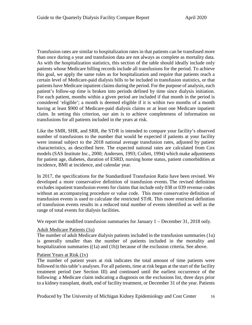Transfusion rates are similar to hospitalization rates in that patients can be transfused more than once during a year and transfusion data are not always as complete as mortality data. As with the hospitalization statistics, this section of the table should ideally include only patients whose Medicare billing records include all transfusions for the period. To achieve this goal, we apply the same rules as for hospitalization and require that patients reach a certain level of Medicare-paid dialysis bills to be included in transfusion statistics, or that patients have Medicare inpatient claims during the period. For the purpose of analysis, each patient's follow-up time is broken into periods defined by time since dialysis initiation. For each patient, months within a given period are included if that month in the period is considered 'eligible'; a month is deemed eligible if it is within two months of a month having at least \$900 of Medicare-paid dialysis claims or at least one Medicare inpatient claim. In setting this criterion, our aim is to achieve completeness of information on transfusions for all patients included in the years at risk.

Like the SMR, SHR, and SRR, the STrR is intended to compare your facility's observed number of transfusions to the number that would be expected if patients at your facility were instead subject to the 2018 national average transfusion rates, adjusted by patient characteristics, as described here. The expected national rates are calculated from Cox models (SAS Institute Inc., 2000; Andersen, 1993; Collett, 1994) which make adjustments for patient age, diabetes, duration of ESRD, nursing home status, patient comorbidities at incidence, BMI at incidence, and calendar year.

In 2017, the specifications for the Standardized Transfusion Ratio have been revised. We developed a more conservative definition of transfusion events. The revised definition excludes inpatient transfusion events for claims that include only 038 or 039 revenue codes without an accompanying procedure or value code. This more conservative definition of transfusion events is used to calculate the restricted STrR. This more restricted definition of transfusion events results in a reduced total number of events identified as well as the range of total events for dialysis facilities.

We report the modified transfusion summaries for January 1 – December 31, 2018 only.

### Adult Medicare Patients (1u)

The number of adult Medicare dialysis patients included in the transfusion summaries (1u) is generally smaller than the number of patients included in the mortality and hospitalization summaries ((1a) and (1h)) because of the exclusion criteria. See above.

### Patient Years at Risk (1v)

The number of patient years at risk indicates the total amount of time patients were followed in this table's analyses. For all patients, time at risk began at the start of the facility treatment period (see Section III) and continued until the earliest occurrence of the following: a Medicare claim indicating a diagnosis on the exclusions list, three days prior to a kidney transplant, death, end of facility treatment, or December 31 of the year. Patients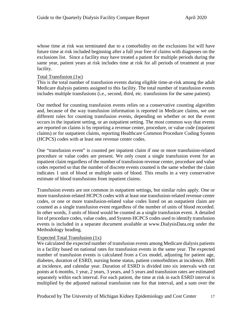whose time at risk was terminated due to a comorbidity on the exclusions list will have future time at risk included beginning after a full year free of claims with diagnoses on the exclusions list. Since a facility may have treated a patient for multiple periods during the same year, patient years at risk includes time at risk for all periods of treatment at your facility.

#### Total Transfusion (1w)

This is the total number of transfusion events during eligible time-at-risk among the adult Medicare dialysis patients assigned to this facility. The total number of transfusion events includes multiple transfusions (i.e., second, third, etc. transfusions for the same patient).

Our method for counting transfusion events relies on a conservative counting algorithm and, because of the way transfusion information is reported in Medicare claims, we use different rules for counting transfusion events, depending on whether or not the event occurs in the inpatient setting, or an outpatient setting. The most common way that events are reported on claims is by reporting a revenue center, procedure, or value code (inpatient claims) or for outpatient claims, reporting Healthcare Common Procedure Coding System (HCPCS) codes with at least one revenue center codes.

One "transfusion event" is counted per inpatient claim if one or more transfusion-related procedure or value codes are present. We only count a single transfusion event for an inpatient claim regardless of the number of transfusion revenue center, procedure and value codes reported so that the number of discrete events counted is the same whether the claim indicates 1 unit of blood or multiple units of blood. This results in a very conservative estimate of blood transfusions from inpatient claims.

Transfusion events are not common in outpatient settings, but similar rules apply. One or more transfusion-related HCPCS codes with at least one transfusion-related revenue center codes, or one or more transfusion-related value codes listed on an outpatient claim are counted as a single transfusion event regardless of the number of units of blood recorded. In other words, 3 units of blood would be counted as a single transfusion event. A detailed list of procedure codes, value codes, and System HCPCS codes used to identify transfusion events is included in a separate document available at www.DialysisData.org under the Methodology heading.

### Expected Total Transfusion (1x)

We calculated the expected number of transfusion events among Medicare dialysis patients in a facility based on national rates for transfusion events in the same year. The expected number of transfusion events is calculated from a Cox model, adjusting for patient age, diabetes, duration of ESRD, nursing home status, patient comorbidities at incidence, BMI at incidence, and calendar year. Duration of ESRD is divided into six intervals with cut points at 6 months, 1 year, 2 years, 3 years, and 5 years and transfusion rates are estimated separately within each interval. For each patient, the time at risk in each ESRD interval is multiplied by the adjusted national transfusion rate for that interval, and a sum over the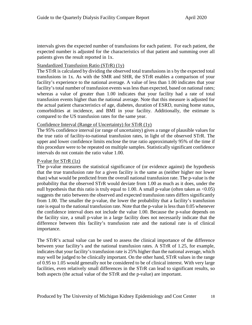intervals gives the expected number of transfusions for each patient. For each patient, the expected number is adjusted for the characteristics of that patient and summing over all patients gives the result reported in 1x.

# Standardized Transfusion Ratio (STrR) (1y)

The STrR is calculated by dividing the observed total transfusions in s by the expected total transfusions in 1x. As with the SMR and SHR, the STrR enables a comparison of your facility's experience to the national average. A value of less than 1.00 indicates that your facility's total number of transfusion events was less than expected, based on national rates; whereas a value of greater than 1.00 indicates that your facility had a rate of total transfusion events higher than the national average. Note that this measure is adjusted for the actual patient characteristics of age, diabetes, duration of ESRD, nursing home status, comorbidities at incidence, and BMI in your facility. Additionally, the estimate is compared to the US transfusion rates for the same year.

#### Confidence Interval (Range of Uncertainty) for STrR (1y)

The 95% confidence interval (or range of uncertainty) gives a range of plausible values for the true ratio of facility-to-national transfusion rates, in light of the observed STrR. The upper and lower confidence limits enclose the true ratio approximately 95% of the time if this procedure were to be repeated on multiple samples. Statistically significant confidence intervals do not contain the ratio value 1.00.

### P-value for STrR (1z)

The p-value measures the statistical significance of (or evidence against) the hypothesis that the true transfusion rate for a given facility is the same as (neither higher nor lower than) what would be predicted from the overall national transfusion rate. The p-value is the probability that the observed STrR would deviate from 1.00 as much as it does, under the null hypothesis that this ratio is truly equal to 1.00. A small p-value (often taken as  $\langle 0.05 \rangle$ ) suggests the ratio between the observed and expected transfusion rates differs significantly from 1.00. The smaller the p-value, the lower the probability that a facility's transfusion rate is equal to the national transfusion rate. Note that the p-value is less than 0.05 whenever the confidence interval does not include the value 1.00. Because the p-value depends on the facility size, a small p-value in a large facility does not necessarily indicate that the difference between this facility's transfusion rate and the national rate is of clinical importance.

The STrR's actual value can be used to assess the clinical importance of the difference between your facility's and the national transfusion rates. A STrR of 1.25, for example, indicates that your facility's transfusion rate is 25% higher than the national average, which may well be judged to be clinically important. On the other hand, STrR values in the range of 0.95 to 1.05 would generally not be considered to be of clinical interest. With very large facilities, even relatively small differences in the STrR can lead to significant results, so both aspects (the actual value of the STrR and the p-value) are important.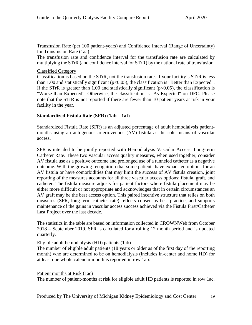Transfusion Rate (per 100 patient-years) and Confidence Interval (Range of Uncertainty) for Transfusion Rate (1aa)

The transfusion rate and confidence interval for the transfusion rate are calculated by multiplying the STrR (and confidence interval for STrR) by the national rate of transfusion.

# Classified Category

Classification is based on the STrR, not the transfusion rate. If your facility's STrR is less than 1.00 and statistically significant ( $p<0.05$ ), the classification is "Better than Expected". If the STrR is greater than 1.00 and statistically significant ( $p<0.05$ ), the classification is "Worse than Expected". Otherwise, the classification is "As Expected" on DFC. Please note that the STrR is not reported if there are fewer than 10 patient years at risk in your facility in the year.

# <span id="page-21-0"></span>**Standardized Fistula Rate (SFR) (1ab – 1af)**

Standardized Fistula Rate (SFR) is an adjusted percentage of adult hemodialysis patientmonths using an autogenous arteriovenous (AV) fistula as the sole means of vascular access.

SFR is intended to be jointly reported with Hemodialysis Vascular Access: Long-term Catheter Rate. These two vascular access quality measures, when used together, consider AV fistula use as a positive outcome and prolonged use of a tunneled catheter as a negative outcome. With the growing recognition that some patients have exhausted options for an AV fistula or have comorbidities that may limit the success of AV fistula creation, joint reporting of the measures accounts for all three vascular access options: fistula, graft, and catheter. The fistula measure adjusts for patient factors where fistula placement may be either more difficult or not appropriate and acknowledges that in certain circumstances an AV graft may be the best access option. This paired incentive structure that relies on both measures (SFR, long-term catheter rate) reflects consensus best practice, and supports maintenance of the gains in vascular access success achieved via the Fistula First/Catheter Last Project over the last decade.

The statistics in the table are based on information collected in CROWNWeb from October 2018 – September 2019. SFR is calculated for a rolling 12 month period and is updated quarterly.

# Eligible adult hemodialysis (HD) patients (1ab)

The number of eligible adult patients (18 years or older as of the first day of the reporting month) who are determined to be on hemodialysis (includes in-center and home HD) for at least one whole calendar month is reported in row 1ab.

### Patient months at Risk (1ac)

The number of patient-months at risk for eligible adult HD patients is reported in row 1ac.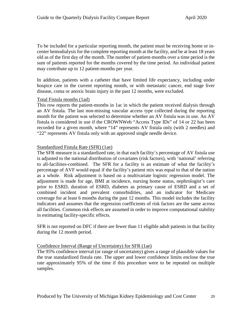To be included for a particular reporting month, the patient must be receiving home or incenter hemodialysis for the complete reporting month at the facility, and be at least 18 years old as of the first day of the month. The number of patient-months over a time period is the sum of patients reported for the months covered by the time period. An individual patient may contribute up to 12 patient-months per year.

In addition, patients with a catheter that have limited life expectancy, including under hospice care in the current reporting month, or with metastatic cancer, end stage liver disease, coma or anoxic brain injury in the past 12 months, were excluded.

### Total Fistula months (1ad)

This row reports the patient-months in 1ac in which the patient received dialysis through an AV fistula. The last non-missing vascular access type collected during the reporting month for the patient was selected to determine whether an AV fistula was in use. An AV fistula is considered in use if the CROWNWeb "Access Type IDs" of 14 or 22 has been recorded for a given month, where "14" represents AV fistula only (with 2 needles) and "22" represents AV fistula only with an approved single needle device.

# Standardized Fistula Rate (SFR) (1ae)

The SFR measure is a standardized rate, in that each facility's percentage of AV fistula use is adjusted to the national distribution of covariates (risk factors), with 'national' referring to all-facilities-combined. The SFR for a facility is an estimate of what the facility's percentage of AVF would equal if the facility's patient mix was equal to that of the nation as a whole. Risk adjustment is based on a multivariate logistic regression model. The adjustment is made for age, BMI at incidence, nursing home status, nephrologist's care prior to ESRD, duration of ESRD, diabetes as primary cause of ESRD and a set of combined incident and prevalent comorbidities, and an indicator for Medicare coverage for at least 6 months during the past 12 months. This model includes the facility indicators and assumes that the regression coefficients of risk factors are the same across all facilities. Common risk effects are assumed in order to improve computational stability in estimating facility-specific effects.

SFR is not reported on DFC if there are fewer than 11 eligible adult patients in that facility during the 12 month period.

### Confidence Interval (Range of Uncertainty) for SFR (1ae)

The 95% confidence interval (or range of uncertainty) gives a range of plausible values for the true standardized fistula rate. The upper and lower confidence limits enclose the true rate approximately 95% of the time if this procedure were to be repeated on multiple samples.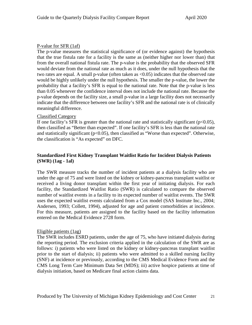# P-value for SFR (1af)

The p-value measures the statistical significance of (or evidence against) the hypothesis that the true fistula rate for a facility is the same as (neither higher nor lower than) that from the overall national fistula rate. The p-value is the probability that the observed SFR would deviate from the national rate as much as it does, under the null hypothesis that the two rates are equal. A small p-value (often taken as <0.05) indicates that the observed rate would be highly unlikely under the null hypothesis. The smaller the p-value, the lower the probability that a facility's SFR is equal to the national rate. Note that the p-value is less than 0.05 whenever the confidence interval does not include the national rate. Because the p-value depends on the facility size, a small p-value in a large facility does not necessarily indicate that the difference between one facility's SFR and the national rate is of clinically meaningful difference.

# Classified Category

If one facility's SFR is greater than the national rate and statistically significant ( $p<0.05$ ), then classified as "Better than expected". If one facility's SFR is less than the national rate and statistically significant ( $p<0.05$ ), then classified as "Worse than expected". Otherwise, the classification is "As expected" on DFC.

# <span id="page-23-0"></span>**Standardized First Kidney Transplant Waitlist Ratio for Incident Dialysis Patients (SWR) (1ag - 1al)**

The SWR measure tracks the number of incident patients at a dialysis facility who are under the age of 75 and were listed on the kidney or kidney-pancreas transplant waitlist or received a living donor transplant within the first year of initiating dialysis. For each facility, the Standardized Waitlist Ratio (SWR) is calculated to compare the observed number of waitlist events in a facility to its expected number of waitlist events. The SWR uses the expected waitlist events calculated from a Cox model (SAS Institute Inc., 2004; Andersen, 1993; Collett, 1994), adjusted for age and patient comorbidities at incidence. For this measure, patients are assigned to the facility based on the facility information entered on the Medical Evidence 2728 form.

### Eligible patients (1ag)

The SWR includes ESRD patients, under the age of 75, who have initiated dialysis during the reporting period. The exclusion criteria applied in the calculation of the SWR are as follows: i) patients who were listed on the kidney or kidney-pancreas transplant waitlist prior to the start of dialysis; ii) patients who were admitted to a skilled nursing facility (SNF) at incidence or previously, according to the CMS Medical Evidence Form and the CMS Long Term Care Minimum Data Set (MDS); iii) active hospice patients at time of dialysis initiation, based on Medicare final action claims data.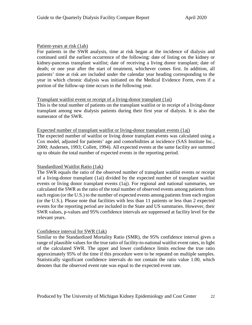### Patient-years at risk (1ah)

For patients in the SWR analysis, time at risk began at the incidence of dialysis and continued until the earliest occurrence of the following: date of listing on the kidney or kidney-pancreas transplant waitlist; date of receiving a living donor transplant; date of death; or one year after the start of treatment, whichever comes first. In addition, all patients' time at risk are included under the calendar year heading corresponding to the year in which chronic dialysis was initiated on the Medical Evidence Form, even if a portion of the follow-up time occurs in the following year.

# Transplant waitlist event or receipt of a living-donor transplant (1ai)

This is the total number of patients on the transplant waitlist or in receipt of a living-donor transplant among new dialysis patients during their first year of dialysis. It is also the numerator of the SWR.

### Expected number of transplant waitlist or living-donor transplant events (1aj)

The expected number of waitlist or living donor transplant events was calculated using a Cox model, adjusted for patients' age and comorbidities at incidence (SAS Institute Inc., 2000; Andersen, 1993; Collett, 1994). All expected events at the same facility are summed up to obtain the total number of expected events in the reporting period.

### Standardized Waitlist Ratio (1ak)

The SWR equals the ratio of the observed number of transplant waitlist events or receipt of a living-donor transplant (1ai) divided by the expected number of transplant waitlist events or living donor transplant events (1aj). For regional and national summaries, we calculated the SWR as the ratio of the total number of observed events among patients from each region (or the U.S.) to the number of expected events among patients from each region (or the U.S.). Please note that facilities with less than 11 patients or less than 2 expected events for the reporting period are included in the State and US summaries. However, their SWR values, p-values and 95% confidence intervals are suppressed at facility level for the relevant years.

# Confidence interval for SWR (1ak)

Similar to the Standardized Mortality Ratio (SMR), the 95% confidence interval gives a range of plausible values for the true ratio of facility-to-national waitlist event rates, in light of the calculated SWR. The upper and lower confidence limits enclose the true ratio approximately 95% of the time if this procedure were to be repeated on multiple samples. Statistically significant confidence intervals do not contain the ratio value 1.00, which denotes that the observed event rate was equal to the expected event rate.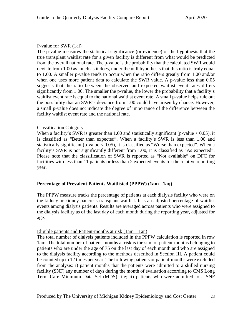# P-value for SWR (1al)

The p-value measures the statistical significance (or evidence) of the hypothesis that the true transplant waitlist rate for a given facility is different from what would be predicted from the overall national rate. The p-value is the probability that the calculated SWR would deviate from 1.00 as much as it does, under the null hypothesis that this ratio is truly equal to 1.00. A smaller p-value tends to occur when the ratio differs greatly from 1.00 and/or when one uses more patient data to calculate the SWR value. A p-value less than 0.05 suggests that the ratio between the observed and expected waitlist event rates differs significantly from 1.00. The smaller the p-value, the lower the probability that a facility's waitlist event rate is equal to the national waitlist event rate. A small p-value helps rule out the possibility that an SWR's deviance from 1.00 could have arisen by chance. However, a small p-value does not indicate the degree of importance of the difference between the facility waitlist event rate and the national rate.

# Classification Category

When a facility's SWR is greater than 1.00 and statistically significant (p-value  $< 0.05$ ), it is classified as "Better than expected". When a facility's SWR is less than 1.00 and statistically significant (p-value  $< 0.05$ ), it is classified as "Worse than expected". When a facility's SWR is not significantly different from 1.00, it is classified as "As expected". Please note that the classification of SWR is reported as "Not available" on DFC for facilities with less than 11 patients or less than 2 expected events for the relative reporting year.

# <span id="page-25-0"></span>**Percentage of Prevalent Patients Waitlisted (PPPW) (1am - 1aq)**

The PPPW measure tracks the percentage of patients at each dialysis facility who were on the kidney or kidney-pancreas transplant waitlist. It is an adjusted percentage of waitlist events among dialysis patients. Results are averaged across patients who were assigned to the dialysis facility as of the last day of each month during the reporting year, adjusted for age.

### Eligible patients and Patient-months at risk (1am – 1an)

The total number of dialysis patients included in the PPPW calculation is reported in row 1am. The total number of patient-months at risk is the sum of patient-months belonging to patients who are under the age of 75 on the last day of each month and who are assigned to the dialysis facility according to the methods described in Section III. A patient could be counted up to 12 times per year. The following patients or patient-months were excluded from the analysis: i) patient months that the patients were admitted to a skilled nursing facility (SNF) any number of days during the month of evaluation according to CMS Long Term Care Minimum Data Set (MDS) file; ii) patients who were admitted to a SNF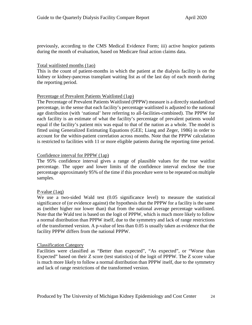previously, according to the CMS Medical Evidence Form; iii) active hospice patients during the month of evaluation, based on Medicare final action claims data.

# Total waitlisted months (1ao)

This is the count of patient-months in which the patient at the dialysis facility is on the kidney or kidney-pancreas transplant waiting list as of the last day of each month during the reporting period.

# Percentage of Prevalent Patients Waitlisted (1ap)

The Percentage of Prevalent Patients Waitlisted (PPPW) measure is a directly standardized percentage, in the sense that each facility's percentage waitlisted is adjusted to the national age distribution (with 'national' here referring to all-facilities-combined). The PPPW for each facility is an estimate of what the facility's percentage of prevalent patients would equal if the facility's patient mix was equal to that of the nation as a whole. The model is fitted using Generalized Estimating Equations (GEE; Liang and Zeger, 1986) in order to account for the within-patient correlation across months. Note that the PPPW calculation is restricted to facilities with 11 or more eligible patients during the reporting time period.

# Confidence interval for PPPW (1ap)

The 95% confidence interval gives a range of plausible values for the true waitlist percentage. The upper and lower limits of the confidence interval enclose the true percentage approximately 95% of the time if this procedure were to be repeated on multiple samples.

# P-value (1aq)

We use a two-sided Wald test  $(0.05 \text{ significance level})$  to measure the statistical significance of (or evidence against) the hypothesis that the PPPW for a facility is the same as (neither higher nor lower than) that from the national average percentage waitlisted. Note that the Wald test is based on the logit of PPPW, which is much more likely to follow a normal distribution than PPPW itself, due to the symmetry and lack of range restrictions of the transformed version. A p-value of less than 0.05 is usually taken as evidence that the facility PPPW differs from the national PPPW.

### Classification Category

Facilities were classified as "Better than expected", "As expected", or "Worse than Expected" based on their Z score (test statistics) of the logit of PPPW. The Z score value is much more likely to follow a normal distribution than PPPW itself, due to the symmetry and lack of range restrictions of the transformed version.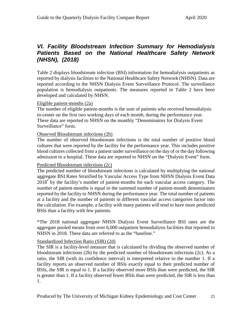# <span id="page-27-0"></span>*VI. Facility Bloodstream Infection Summary for Hemodialysis Patients Based on the National Healthcare Safety Network (NHSN), (2018)*

Table 2 displays bloodstream infection (BSI) information for hemodialysis outpatients as reported by dialysis facilities to the National Healthcare Safety Network (NHSN). Data are reported according to the NHSN Dialysis Event Surveillance Protocol. The surveillance population is hemodialysis outpatients. The measures reported in Table 2 have been developed and calculated by NHSN.

#### Eligible patient-months (2a)

The number of eligible patient-months is the sum of patients who received hemodialysis in-center on the first two working days of each month, during the performance year. These data are reported to NHSN on the monthly "Denominators for Dialysis Event Surveillance" form.

### Observed Bloodstream infections (2b)

The number of observed bloodstream infections is the total number of positive blood cultures that were reported by the facility for the performance year. This includes positive blood cultures collected from a patient under surveillance on the day of or the day following admission to a hospital. These data are reported to NHSN on the "Dialysis Event" form.

### Predicted Bloodstream infections (2c)

The predicted number of bloodstream infections is calculated by multiplying the national aggregate BSI Rates Stratified by Vascular Access Type from NHSN Dialysis Event Data 2018\* by the facility's number of patient-months for each vascular access category. The number of patient-months is equal to the summed number of patient-month denominators reported by the facility to NHSN during the performance year. The total number of patients at a facility and the number of patients in different vascular access categories factor into the calculation. For example, a facility with many patients will tend to have more predicted BSIs than a facility with few patients.

\*The 2018 national aggregate NHSN Dialysis Event Surveillance BSI rates are the aggregate pooled means from over 6,000 outpatient hemodialysis facilities that reported to NHSN in 2018. These data are referred to as the "baseline."

### Standardized Infection Ratio (SIR) (2d)

The SIR is a facility-level measure that is calculated by dividing the observed number of bloodstream infections (2b) by the predicted number of bloodstream infections (2c). As a ratio, the SIR (with its confidence interval) is interpreted relative to the number 1. If a facility reports an observed number of BSIs exactly equal to their predicted number of BSIs, the SIR is equal to 1. If a facility observed more BSIs than were predicted, the SIR is greater than 1. If a facility observed fewer BSIs than were predicted, the SIR is less than 1.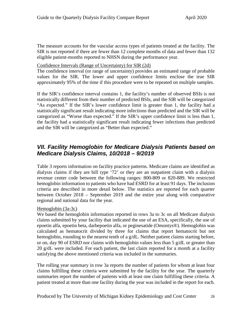The measure accounts for the vascular access types of patients treated at the facility. The SIR is not reported if there are fewer than 12 complete months of data and fewer than 132 eligible patient-months reported to NHSN during the performance year.

# Confidence Intervals (Range of Uncertainty) for SIR (2d)

The confidence interval (or range of uncertainty) provides an estimated range of probable values for the SIR. The lower and upper confidence limits enclose the true SIR approximately 95% of the time if this procedure were to be repeated on multiple samples.

If the SIR's confidence interval contains 1, the facility's number of observed BSIs is not statistically different from their number of predicted BSIs, and the SIR will be categorized "As expected." If the SIR's lower confidence limit is greater than 1, the facility had a statistically significant result indicating more infections than predicted and the SIR will be categorized as "Worse than expected." If the SIR's upper confidence limit is less than 1, the facility had a statistically significant result indicating fewer infections than predicted and the SIR will be categorized as "Better than expected."

# <span id="page-28-0"></span>*VII. Facility Hemoglobin for Medicare Dialysis Patients based on Medicare Dialysis Claims, 10/2018 – 9/2019*

Table 3 reports information on facility practice patterns. Medicare claims are identified as dialysis claims if they are bill type '72' or they are an outpatient claim with a dialysis revenue center code between the following ranges: 800-809 or 820-889. We restricted hemoglobin information to patients who have had ESRD for at least 91 days. The inclusion criteria are described in more detail below. The statistics are reported for each quarter between October 2018 – September 2019 and the entire year along with comparative regional and national data for the year.

Hemoglobin (3a-3c)

We based the hemoglobin information reported in rows 3a to 3c on all Medicare dialysis claims submitted by your facility that indicated the use of an ESA, specifically, the use of epoetin alfa, epoetin beta, darbepoetin alfa, or peginesatide (Omontys®). Hemoglobin was calculated as hematocrit divided by three for claims that report hematocrit but not hemoglobin, rounding to the nearest tenth of a g/dL. Neither patient claims starting before, or on, day 90 of ESRD nor claims with hemoglobin values less than 5 g/dL or greater than 20 g/dL were included. For each patient, the last claim reported for a month at a facility satisfying the above mentioned criteria was included in the summaries.

The rolling year summary in row 3a reports the number of patients for whom at least four claims fulfilling these criteria were submitted by the facility for the year. The quarterly summaries report the number of patients with at least one claim fulfilling these criteria. A patient treated at more than one facility during the year was included in the report for each.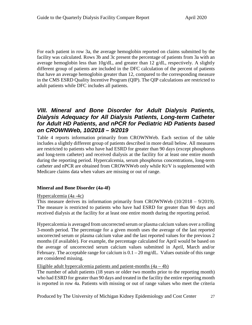For each patient in row 3a, the average hemoglobin reported on claims submitted by the facility was calculated. Rows 3b and 3c present the percentage of patients from 3a with an average hemoglobin less than 10g/dL, and greater than 12 g/dL, respectively. A slightly different group of patients are included in the DFC calculation of the percent of patients that have an average hemoglobin greater than 12, compared to the corresponding measure in the CMS ESRD Quality Incentive Program (QIP). The QIP calculations are restricted to adult patients while DFC includes all patients.

# <span id="page-29-0"></span>*VIII. Mineral and Bone Disorder for Adult Dialysis Patients, Dialysis Adequacy for All Dialysis Patients, Long-term Catheter for Adult HD Patients, and nPCR for Pediatric HD Patients based on CROWNWeb, 10/2018 – 9/2019*

Table 4 reports information primarily from CROWNWeb. Each section of the table includes a slightly different group of patients described in more detail below. All measures are restricted to patients who have had ESRD for greater than 90 days (except phosphorus and long-term catheter) and received dialysis at the facility for at least one entire month during the reporting period. Hypercalcemia, serum phosphorus concentrations, long-term catheter and nPCR are obtained from CROWNWeb only while Kt/V is supplemented with Medicare claims data when values are missing or out of range.

# <span id="page-29-1"></span>**Mineral and Bone Disorder (4a-4f)**

### Hypercalcemia (4a -4c)

This measure derives its information primarily from CROWNWeb  $(10/2018 - 9/2019)$ . The measure is restricted to patients who have had ESRD for greater than 90 days and received dialysis at the facility for at least one entire month during the reporting period.

Hypercalcemia is averaged from uncorrected serum or plasma calcium values over a rolling 3-month period. The percentage for a given month uses the average of the last reported uncorrected serum or plasma calcium value and the last reported values for the previous 2 months (if available). For example, the percentage calculated for April would be based on the average of uncorrected serum calcium values submitted in April, March and/or February. The acceptable range for calcium is  $0.1 - 20$  mg/dL. Values outside of this range are considered missing.

### Eligible adult hypercalcemia patients and patient-months  $(4a - 4b)$

The number of adult patients (18 years or older two months prior to the reporting month) who had ESRD for greater than 90 days and treated in the facility the entire reporting month is reported in row 4a. Patients with missing or out of range values who meet the criteria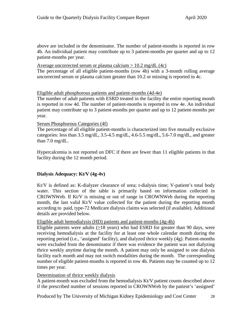above are included in the denominator. The number of patient-months is reported in row 4b. An individual patient may contribute up to 3 patient-months per quarter and up to 12 patient-months per year.

Average uncorrected serum or plasma calcium  $> 10.2$  mg/dL (4c)

The percentage of all eligible patient-months (row 4b) with a 3-month rolling average uncorrected serum or plasma calcium greater than 10.2 or missing is reported in 4c.

Eligible adult phosphorous patients and patient-months (4d-4e)

The number of adult patients with ESRD treated in the facility the entire reporting month is reported in row 4d. The number of patient-months is reported in row 4e. An individual patient may contribute up to 3 patient-months per quarter and up to 12 patient-months per year.

### Serum Phosphorous Categories (4f)

The percentage of all eligible patient-months is characterized into five mutually exclusive categories: less than 3.5 mg/dL, 3.5-4.5 mg/dL, 4.6-5.5 mg/dL, 5.6-7.0 mg/dL, and greater than 7.0 mg/dL.

Hypercalcemia is not reported on DFC if there are fewer than 11 eligible patients in that facility during the 12 month period.

# <span id="page-30-0"></span>**Dialysis Adequacy: Kt/V (4g-4v)**

Kt/V is defined as: K-dialyzer clearance of urea; t-dialysis time; V-patient's total body water. This section of the table is primarily based on information collected in CROWNWeb. If Kt/V is missing or out of range in CROWNWeb during the reporting month, the last valid Kt/V value collected for the patient during the reporting month according to paid, type-72 Medicare dialysis claims was selected (if available). Additional details are provided below.

### Eligible adult hemodialysis (HD) patients and patient-months (4g-4h)

Eligible patients were adults  $(\geq 18$  years) who had ESRD for greater than 90 days, were receiving hemodialysis at the facility for at least one whole calendar month during the reporting period (i.e., 'assigned' facility), and dialyzed thrice weekly (4g). Patient-months were excluded from the denominator if there was evidence the patient was not dialyzing thrice weekly anytime during the month. A patient may only be assigned to one dialysis facility each month and may not switch modalities during the month. The corresponding number of eligible patient-months is reported in row 4h. Patients may be counted up to 12 times per year.

### Determination of thrice weekly dialysis

A patient-month was excluded from the hemodialysis Kt/V patient counts described above if the prescribed number of sessions reported in CROWNWeb by the patient's 'assigned'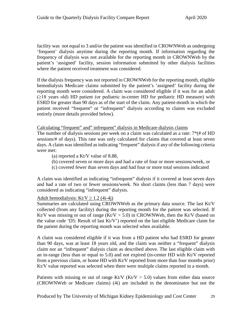facility was not equal to 3 and/or the patient was identified in CROWNWeb as undergoing 'frequent' dialysis anytime during the reporting month. If information regarding the frequency of dialysis was not available for the reporting month in CROWNWeb by the patient's 'assigned' facility, session information submitted by other dialysis facilities where the patient received treatment was considered.

If the dialysis frequency was not reported in CROWNWeb for the reporting month, eligible hemodialysis Medicare claims submitted by the patient's 'assigned' facility during the reporting month were considered. A claim was considered eligible if it was for an adult (≥18 years old) HD patient (or pediatric in-center HD for pediatric HD measure) with ESRD for greater than 90 days as of the start of the claim. Any patient-month in which the patient received "frequent" or "infrequent" dialysis according to claims was excluded entirely (more details provided below).

Calculating "frequent" and" infrequent" dialysis in Medicare dialysis claims

The number of dialysis sessions per week on a claim was calculated as a rate: 7\*(# of HD sessions/# of days). This rate was only calculated for claims that covered at least seven days. A claim was identified as indicating "frequent" dialysis if any of the following criteria were met:

- (a) reported a Kt/V value of 8.88,
- (b) covered seven or more days and had a rate of four or more sessions/week, or
- (c) covered fewer than seven days and had four or more total sessions indicated

A claim was identified as indicating "infrequent" dialysis if it covered at least seven days and had a rate of two or fewer sessions/week. No short claims (less than 7 days) were considered as indicating "infrequent" dialysis.

### Adult hemodialysis: Kt/V  $\geq$  1.2 (4i-4j)

Summaries are calculated using CROWNWeb as the primary data source. The last Kt/V collected (from any facility) during the reporting month for the patient was selected. If Kt/V was missing or out of range  $(Kt/V > 5.0)$  in CROWNWeb, then the Kt/V (based on the value code 'D5: Result of last Kt/V') reported on the last eligible Medicare claim for the patient during the reporting month was selected when available.

A claim was considered eligible if it was from a HD patient who had ESRD for greater than 90 days, was at least 18 years old, and the claim was neither a "frequent" dialysis claim nor an "infrequent" dialysis claim as described above. The last eligible claim with an in-range (less than or equal to 5.0) and not expired (in-center HD with Kt/V reported from a previous claim, or home HD with Kt/V reported from more than four months prior) Kt/V value reported was selected when there were multiple claims reported in a month.

Patients with missing or out of range Kt/V (Kt/V  $>$  5.0) values from either data source (CROWNWeb or Medicare claims) (4i) are included in the denominator but not the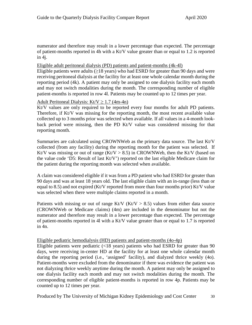numerator and therefore may result in a lower percentage than expected. The percentage of patient-months reported in 4h with a Kt/V value greater than or equal to 1.2 is reported in 4j.

### Eligible adult peritoneal dialysis (PD) patients and patient-months (4k-4l)

Eligible patients were adults ( $\geq$ 18 years) who had ESRD for greater than 90 days and were receiving peritoneal dialysis at the facility for at least one whole calendar month during the reporting period (4k). A patient may only be assigned to one dialysis facility each month and may not switch modalities during the month. The corresponding number of eligible patient-months is reported in row 4l. Patients may be counted up to 12 times per year.

### Adult Peritoneal Dialysis: Kt/V  $\geq$  1.7 (4m-4n)

Kt/V values are only required to be reported every four months for adult PD patients. Therefore, if Kt/V was missing for the reporting month, the most recent available value collected up to 3 months prior was selected when available. If all values in a 4-month lookback period were missing, then the PD Kt/V value was considered missing for that reporting month.

Summaries are calculated using CROWNWeb as the primary data source. The last Kt/V collected (from any facility) during the reporting month for the patient was selected. If Kt/V was missing or out of range (Kt/V  $> 8.5$ ) in CROWNWeb, then the Kt/V (based on the value code 'D5: Result of last Kt/V') reported on the last eligible Medicare claim for the patient during the reporting month was selected when available.

A claim was considered eligible if it was from a PD patient who had ESRD for greater than 90 days and was at least 18 years old. The last eligible claim with an in-range (less than or equal to 8.5) and not expired (Kt/V reported from more than four months prior) Kt/V value was selected when there were multiple claims reported in a month.

Patients with missing or out of range Kt/V ( $Kt/V > 8.5$ ) values from either data source (CROWNWeb or Medicare claims) (4m) are included in the denominator but not the numerator and therefore may result in a lower percentage than expected. The percentage of patient-months reported in 4l with a Kt/V value greater than or equal to 1.7 is reported in 4n.

### Eligible pediatric hemodialysis (HD) patients and patient-months (4o-4p)

Eligible patients were pediatric  $\langle$ <18 years) patients who had ESRD for greater than 90 days, were receiving in-center HD at the facility for at least one whole calendar month during the reporting period (i.e., 'assigned' facility), and dialyzed thrice weekly (4o). Patient-months were excluded from the denominator if there was evidence the patient was not dialyzing thrice weekly anytime during the month. A patient may only be assigned to one dialysis facility each month and may not switch modalities during the month. The corresponding number of eligible patient-months is reported in row 4p. Patients may be counted up to 12 times per year.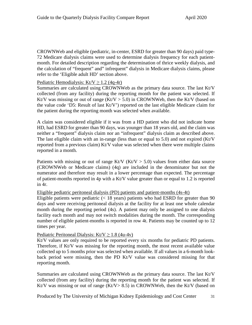CROWNWeb and eligible (pediatric, in-center, ESRD for greater than 90 days) paid type-72 Medicare dialysis claims were used to determine dialysis frequency for each patientmonth. For detailed description regarding the determination of thrice weekly dialysis, and the calculation of "frequent" and" infrequent" dialysis in Medicare dialysis claims, please refer to the 'Eligible adult HD' section above.

# Pediatric Hemodialysis: Kt/V  $\geq$  1.2 (4q-4r)

Summaries are calculated using CROWNWeb as the primary data source. The last Kt/V collected (from any facility) during the reporting month for the patient was selected. If Kt/V was missing or out of range  $(Kt/V > 5.0)$  in CROWNWeb, then the Kt/V (based on the value code 'D5: Result of last Kt/V') reported on the last eligible Medicare claim for the patient during the reporting month was selected when available.

A claim was considered eligible if it was from a HD patient who did not indicate home HD, had ESRD for greater than 90 days, was younger than 18 years old, and the claim was neither a "frequent" dialysis claim nor an "infrequent" dialysis claim as described above. The last eligible claim with an in-range (less than or equal to 5.0) and not expired (Kt/V reported from a previous claim) Kt/V value was selected when there were multiple claims reported in a month.

Patients with missing or out of range Kt/V ( $Kt/V > 5.0$ ) values from either data source (CROWNWeb or Medicare claims) (4q) are included in the denominator but not the numerator and therefore may result in a lower percentage than expected. The percentage of patient-months reported in 4p with a Kt/V value greater than or equal to 1.2 is reported in 4r.

### Eligible pediatric peritoneal dialysis (PD) patients and patient-months (4s-4t)

Eligible patients were pediatric  $\langle \langle 18 \rangle$  years) patients who had ESRD for greater than 90 days and were receiving peritoneal dialysis at the facility for at least one whole calendar month during the reporting period (4s). A patient may only be assigned to one dialysis facility each month and may not switch modalities during the month. The corresponding number of eligible patient-months is reported in row 4t. Patients may be counted up to 12 times per year.

### Pediatric Peritoneal Dialysis: Kt/V  $\geq$  1.8 (4u-4v)

Kt/V values are only required to be reported every six months for pediatric PD patients. Therefore, if Kt/V was missing for the reporting month, the most recent available value collected up to 5 months prior was selected when available. If all values in a 6-month lookback period were missing, then the PD Kt/V value was considered missing for that reporting month.

Summaries are calculated using CROWNWeb as the primary data source. The last Kt/V collected (from any facility) during the reporting month for the patient was selected. If Kt/V was missing or out of range  $(Kt/V > 8.5)$  in CROWNWeb, then the Kt/V (based on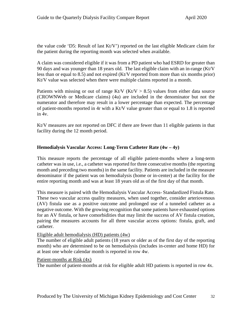the value code 'D5: Result of last Kt/V') reported on the last eligible Medicare claim for the patient during the reporting month was selected when available.

A claim was considered eligible if it was from a PD patient who had ESRD for greater than 90 days and was younger than 18 years old. The last eligible claim with an in-range (Kt/V less than or equal to 8.5) and not expired (Kt/V reported from more than six months prior) Kt/V value was selected when there were multiple claims reported in a month.

Patients with missing or out of range Kt/V (Kt/V  $> 8.5$ ) values from either data source (CROWNWeb or Medicare claims) (4u) are included in the denominator but not the numerator and therefore may result in a lower percentage than expected. The percentage of patient-months reported in 4r with a Kt/V value greater than or equal to 1.8 is reported in 4v.

Kt/V measures are not reported on DFC if there are fewer than 11 eligible patients in that facility during the 12 month period.

# <span id="page-34-0"></span>**Hemodialysis Vascular Access: Long-Term Catheter Rate (4w – 4y)**

This measure reports the percentage of all eligible patient-months where a long-term catheter was in use, i.e., a catheter was reported for three consecutive months (the reporting month and preceding two months) in the same facility. Patients are included in the measure denominator if the patient was on hemodialysis (home or in-center) at the facility for the entire reporting month and was at least 18 years old as of the first day of that month.

This measure is paired with the Hemodialysis Vascular Access- Standardized Fistula Rate. These two vascular access quality measures, when used together, consider arteriovenous (AV) fistula use as a positive outcome and prolonged use of a tunneled catheter as a negative outcome. With the growing recognition that some patients have exhausted options for an AV fistula, or have comorbidities that may limit the success of AV fistula creation, pairing the measures accounts for all three vascular access options: fistula, graft, and catheter.

### Eligible adult hemodialysis (HD) patients (4w)

The number of eligible adult patients (18 years or older as of the first day of the reporting month) who are determined to be on hemodialysis (includes in-center and home HD) for at least one whole calendar month is reported in row 4w.

### Patient-months at Risk (4x)

The number of patient-months at risk for eligible adult HD patients is reported in row 4x.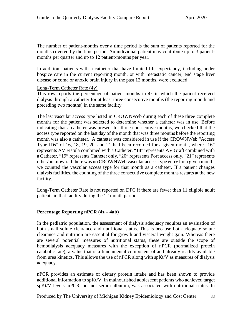The number of patient-months over a time period is the sum of patients reported for the months covered by the time period. An individual patient may contribute up to 3 patientmonths per quarter and up to 12 patient-months per year.

In addition, patients with a catheter that have limited life expectancy, including under hospice care in the current reporting month, or with metastatic cancer, end stage liver disease or coma or anoxic brain injury in the past 12 months, were excluded.

#### Long-Term Catheter Rate (4y)

This row reports the percentage of patient-months in 4x in which the patient received dialysis through a catheter for at least three consecutive months (the reporting month and preceding two months) in the same facility.

The last vascular access type listed in CROWNWeb during each of these three complete months for the patient was selected to determine whether a catheter was in use. Before indicating that a catheter was present for three consecutive months, we checked that the access type reported on the last day of the month that was three months before the reporting month was also a catheter. A catheter was considered in use if the CROWNWeb "Access Type IDs" of 16, 18, 19, 20, and 21 had been recorded for a given month, where "16" represents AV Fistula combined with a Catheter, "18" represents AV Graft combined with a Catheter, "19" represents Catheter only, "20" represents Port access only, "21" represents other/unknown. If there was no CROWNWeb vascular access type entry for a given month, we counted the vascular access type for that month as a catheter. If a patient changes dialysis facilities, the counting of the three consecutive complete months restarts at the new facility.

Long-Term Catheter Rate is not reported on DFC if there are fewer than 11 eligible adult patients in that facility during the 12 month period.

### <span id="page-35-0"></span>**Percentage Reporting nPCR (4z – 4ab)**

In the pediatric population, the assessment of dialysis adequacy requires an evaluation of both small solute clearance and nutritional status. This is because both adequate solute clearance and nutrition are essential for growth and visceral weight gain. Whereas there are several potential measures of nutritional status, these are outside the scope of hemodialysis adequacy measures with the exception of nPCR (normalized protein catabolic rate), a value that is a fundamental component of and already readily available from urea kinetics. This allows the use of nPCR along with spKt/V as measures of dialysis adequacy.

nPCR provides an estimate of dietary protein intake and has been shown to provide additional information to spKt/V. In malnourished adolescent patients who achieved target spKt/V levels, nPCR, but not serum albumin, was associated with nutritional status. In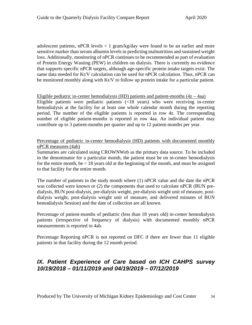adolescent patients, nPCR levels  $\lt 1$  gram/kg/day were found to be an earlier and more sensitive marker than serum albumin levels in predicting malnutrition and sustained weight loss. Additionally, monitoring of nPCR continues to be recommended as part of evaluation of Protein Energy Wasting (PEW) in children on dialysis. There is currently no evidence that supports specific nPCR targets, although age-specific protein intake targets exist. The same data needed for Kt/V calculation can be used for nPCR calculation. Thus, nPCR can be monitored monthly along with Kt/V to follow up protein intake for a particular patient.

Eligible pediatric in-center hemodialysis (HD) patients and patient-months  $(4z - 4aa)$ Eligible patients were pediatric patients (<18 years) who were receiving in-center hemodialysis at the facility for at least one whole calendar month during the reporting period. The number of the eligible patients is reported in row 4z. The corresponding number of eligible patient-months is reported in row 4aa. An individual patient may contribute up to 3 patient-months per quarter and up to 12 patient-months per year.

Percentage of pediatric in-center hemodialysis (HD) patients with documented monthly nPCR measures (4ab)

Summaries are calculated using CROWNWeb as the primary data source. To be included in the denominator for a particular month, the patient must be on in-center hemodialysis for the entire month, be  $< 18$  years old at the beginning of the month, and must be assigned to that facility for the entire month.

The number of patients in the study month where (1) nPCR value and the date the nPCR was collected were known or (2) the components that used to calculate nPCR (BUN predialysis, BUN post-dialysis, pre-dialysis weight, pre-dialysis weight unit of measure, postdialysis weight, post-dialysis weight unit of measure, and delivered minutes of BUN hemodialysis Session) and the date of collection are all known.

Percentage of patient-months of pediatric (less than 18 years old) in-center hemodialysis patients (irrespective of frequency of dialysis) with documented monthly nPCR measurements is reported in 4ab.

Percentage Reporting nPCR is not reported on DFC if there are fewer than 11 eligible patients in that facility during the 12 month period.

# <span id="page-36-0"></span>*IX. Patient Experience of Care based on ICH CAHPS survey 10/19/2018 – 01/11/2019 and 04/19/2019 – 07/12/2019*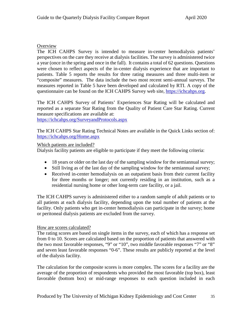# Overview

The ICH CAHPS Survey is intended to measure in-center hemodialysis patients' perspectives on the care they receive at dialysis facilities. The survey is administered twice a year (once in the spring and once in the fall). It contains a total of 62 questions. Questions were chosen to reflect aspects of the in-center dialysis experience that are important to patients. Table 5 reports the results for three rating measures and three multi-item or "composite" measures. The data include the two most recent semi-annual surveys. The measures reported in Table 5 have been developed and calculated by RTI. A copy of the questionnaire can be found on the ICH CAHPS Survey web site, [https://ichcahps.org.](https://ichcahps.org/)

The ICH CAHPS Survey of Patients' Experiences Star Rating will be calculated and reported as a separate Star Rating from the Quality of Patient Care Star Rating. Current measure specifications are available at:

<https://ichcahps.org/SurveyandProtocols.aspx>

The ICH CAHPS Star Rating Technical Notes are available in the Quick Links section of: <https://ichcahps.org/Home.aspx>

# Which patients are included?

Dialysis facility patients are eligible to participate if they meet the following criteria:

- 18 years or older on the last day of the sampling window for the semiannual survey;
- Still living as of the last day of the sampling window for the semiannual survey;
- Received in-center hemodialysis on an outpatient basis from their current facility for three months or longer; not currently residing in an institution, such as a residential nursing home or other long-term care facility, or a jail.

The ICH CAHPS survey is administered either to a random sample of adult patients or to all patients at each dialysis facility, depending upon the total number of patients at the facility. Only patients who get in-center hemodialysis can participate in the survey; home or peritoneal dialysis patients are excluded from the survey.

### How are scores calculated?

The rating scores are based on single items in the survey, each of which has a response set from 0 to 10. Scores are calculated based on the proportion of patients that answered with the two most favorable responses, "9" or "10", two middle favorable responses "7" or "8" and seven least favorable responses "0-6". These results are publicly reported at the level of the dialysis facility.

The calculation for the composite scores is more complex. The scores for a facility are the average of the proportion of respondents who provided the most favorable (top box), least favorable (bottom box) or mid-range responses to each question included in each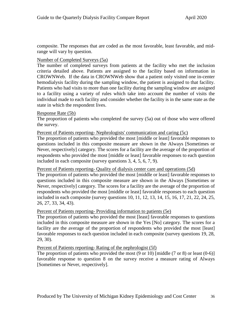composite. The responses that are coded as the most favorable, least favorable, and midrange will vary by question.

# Number of Completed Surveys (5a)

The number of completed surveys from patients at the facility who met the inclusion criteria detailed above. Patients are assigned to the facility based on information in CROWNWeb. If the data in CROWNWeb show that a patient only visited one in-center hemodialysis facility during the sampling window, the patient is assigned to that facility. Patients who had visits to more than one facility during the sampling window are assigned to a facility using a variety of rules which take into account the number of visits the individual made to each facility and consider whether the facility is in the same state as the state in which the respondent lives.

### Response Rate (5b)

The proportion of patients who completed the survey (5a) out of those who were offered the survey.

#### Percent of Patients reporting- Nephrologists' communication and caring (5c)

The proportion of patients who provided the most [middle or least] favorable responses to questions included in this composite measure are shown in the Always [Sometimes or Never, respectively] category. The scores for a facility are the average of the proportion of respondents who provided the most [middle or least] favorable responses to each question included in each composite (survey questions 3, 4, 5, 6, 7, 9).

### Percent of Patients reporting- Quality of dialysis center care and operations (5d)

The proportion of patients who provided the most [middle or least] favorable responses to questions included in this composite measure are shown in the Always [Sometimes or Never, respectively] category. The scores for a facility are the average of the proportion of respondents who provided the most [middle or least] favorable responses to each question included in each composite (survey questions 10, 11, 12, 13, 14, 15, 16, 17, 21, 22, 24, 25, 26, 27, 33, 34, 43).

### Percent of Patients reporting- Providing information to patients (5e)

The proportion of patients who provided the most [least] favorable responses to questions included in this composite measure are shown in the Yes [No] category. The scores for a facility are the average of the proportion of respondents who provided the most [least] favorable responses to each question included in each composite (survey questions 19, 28, 29, 30).

### Percent of Patients reporting- Rating of the nephrologist (5f)

The proportion of patients who provided the most  $(9 \text{ or } 10)$  [middle  $(7 \text{ or } 8)$  or least  $(0-6)$ ] favorable response to question 8 on the survey receive a measure rating of Always [Sometimes or Never, respectively].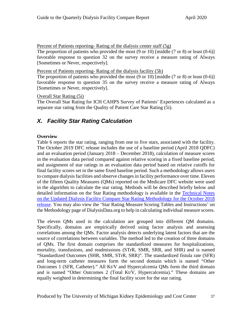Percent of Patients reporting- Rating of the dialysis center staff (5g)

The proportion of patients who provided the most (9 or 10) [middle (7 or 8) or least (0-6)] favorable response to question 32 on the survey receive a measure rating of Always [Sometimes or Never, respectively].

Percent of Patients reporting- Rating of the dialysis facility (5h)

The proportion of patients who provided the most  $(9 \text{ or } 10)$  [middle  $(7 \text{ or } 8)$  or least  $(0-6)$ ] favorable response to question 35 on the survey receive a measure rating of Always [Sometimes or Never, respectively].

# Overall Star Rating (5i)

The Overall Star Rating for ICH CAHPS Survey of Patients' Experiences calculated as a separate star rating from the Quality of Patient Care Star Rating (5i).

# <span id="page-39-0"></span>*X. Facility Star Rating Calculation*

# **Overview**

Table 6 reports the star rating, ranging from one to five stars, associated with the facility. The October 2019 DFC release includes the use of a baseline period (April 2018 QDFC) and an evaluation period (January 2018 – December 2018), calculation of measure scores in the evaluation data period compared against relative scoring in a fixed baseline period, and assignment of star ratings in an evaluation data period based on relative cutoffs for final facility scores set in the same fixed baseline period. Such a methodology allows users to compare dialysis facilities and observe changes in facility performance over time. Eleven of the fifteen Quality Measures (QMs) reported on the Medicare DFC website were used in the algorithm to calculate the star rating. Methods will be described briefly below and detailed information on the Star Rating methodology is available in the [Technical Notes](https://dialysisdata.org/sites/default/files/content/Methodology/Updated_DFC_Star_Rating_Methodology_for_October_2018_Release.pdf)  on the Updated Dialysis Facility [Compare Star Rating Methodology](https://dialysisdata.org/sites/default/files/content/Methodology/Updated_DFC_Star_Rating_Methodology_for_October_2018_Release.pdf) for the October 2018 release. You may also view the 'Star Rating Measure Scoring Tables and Instructions' on the Methodology page of DialysisData.org to help in calculating individual measure scores.

The eleven QMs used in the calculation are grouped into different QM domains. Specifically, domains are empirically derived using factor analysis and assessing correlations among the QMs. Factor analysis detects underlying latent factors that are the source of correlations between variables. The method led to the creation of three domains of QMs. The first domain comprises the standardized measures for hospitalizations, mortality, transfusions, and readmissions (STrR, SMR, SRR, and SHR) and is named "Standardized Outcomes (SHR, SMR, STrR, SRR)". The standardized fistula rate (SFR) and long-term catheter measures form the second domain which is named "Other Outcomes 1 (SFR, Catheter)." All Kt/V and Hypercalcemia QMs form the third domain and is named "Other Outcomes 2 (Total Kt/V, Hypercalcemia)." These domains are equally weighted in determining the final facility score for the star rating.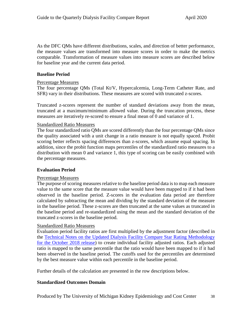As the DFC QMs have different distributions, scales, and direction of better performance, the measure values are transformed into measure scores in order to make the metrics comparable. Transformation of measure values into measure scores are described below for baseline year and the current data period.

### **Baseline Period**

### Percentage Measures

The four percentage QMs (Total Kt/V, Hypercalcemia, Long-Term Catheter Rate, and SFR) vary in their distributions. These measures are scored with truncated z-scores.

Truncated z-scores represent the number of standard deviations away from the mean, truncated at a maximum/minimum allowed value. During the truncation process, these measures are iteratively re-scored to ensure a final mean of 0 and variance of 1.

### Standardized Ratio Measures

The four standardized ratio QMs are scored differently than the four percentage QMs since the quality associated with a unit change in a ratio measure is not equally spaced. Probit scoring better reflects spacing differences than z-scores, which assume equal spacing. In addition, since the probit function maps percentiles of the standardized ratio measures to a distribution with mean 0 and variance 1, this type of scoring can be easily combined with the percentage measures.

### **Evaluation Period**

### Percentage Measures

The purpose of scoring measures relative to the baseline period data is to map each measure value to the same score that the measure value would have been mapped to if it had been observed in the baseline period. Z-scores in the evaluation data period are therefore calculated by subtracting the mean and dividing by the standard deviation of the measure in the baseline period. These z-scores are then truncated at the same values as truncated in the baseline period and re-standardized using the mean and the standard deviation of the truncated z-scores in the baseline period.

### Standardized Ratio Measures

Evaluation period facility ratios are first multiplied by the adjustment factor (described in the [Technical Notes on the Updated Dialysis Facility](https://dialysisdata.org/sites/default/files/content/Methodology/UpdatedDFCStarRatingMethodology.pdf) Compare Star Rating Methodology for the October 2018 release) to create individual facility adjusted ratios. Each adjusted ratio is mapped to the same percentile that the ratio would have been mapped to if it had been observed in the baseline period. The cutoffs used for the percentiles are determined by the best measure value within each percentile in the baseline period.

Further details of the calculation are presented in the row descriptions below.

### **Standardized Outcomes Domain**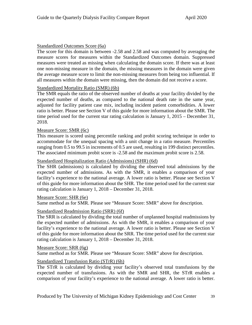### Standardized Outcomes Score (6a)

The score for this domain is between -2.58 and 2.58 and was computed by averaging the measure scores for measures within the Standardized Outcomes domain. Suppressed measures were treated as missing when calculating the domain score. If there was at least one non-missing measure in the domain, the missing measures in the domain were given the average measure score to limit the non-missing measures from being too influential. If all measures within the domain were missing, then the domain did not receive a score.

### Standardized Mortality Ratio (SMR) (6b)

The SMR equals the ratio of the observed number of deaths at your facility divided by the expected number of deaths, as compared to the national death rate in the same year, adjusted for facility patient case mix, including incident patient comorbidities. A lower ratio is better. Please see Section V of this guide for more information about the SMR. The time period used for the current star rating calculation is January 1, 2015 – December 31, 2018.

### Measure Score: SMR (6c)

This measure is scored using percentile ranking and probit scoring technique in order to accommodate for the unequal spacing with a unit change in a ratio measure. Percentiles ranging from 0.5 to 99.5 in increments of 0.5 are used, resulting in 199 distinct percentiles. The associated minimum probit score is -2.58 and the maximum probit score is 2.58.

### Standardized Hospitalization Ratio (Admissions) (SHR) (6d)

The SHR (admissions) is calculated by dividing the observed total admissions by the expected number of admissions. As with the SMR, it enables a comparison of your facility's experience to the national average. A lower ratio is better. Please see Section V of this guide for more information about the SHR. The time period used for the current star rating calculation is January 1, 2018 – December 31, 2018.

### Measure Score: SHR (6e)

Same method as for SMR. Please see "Measure Score: SMR" above for description.

### Standardized Readmission Ratio (SRR) (6f)

The SRR is calculated by dividing the total number of unplanned hospital readmissions by the expected number of admissions. As with the SMR, it enables a comparison of your facility's experience to the national average. A lower ratio is better. Please see Section V of this guide for more information about the SRR. The time period used for the current star rating calculation is January 1, 2018 – December 31, 2018.

Measure Score: SRR (6g)

Same method as for SMR. Please see "Measure Score: SMR" above for description.

### Standardized Transfusion Ratio (STrR) (6h)

The STrR is calculated by dividing your facility's observed total transfusions by the expected number of transfusions. As with the SMR and SHR, the STrR enables a comparison of your facility's experience to the national average. A lower ratio is better.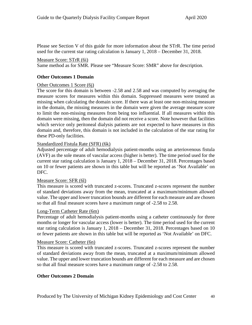Please see Section V of this guide for more information about the STrR. The time period used for the current star rating calculation is January 1, 2018 – December 31, 2018.

### Measure Score: STrR (6i)

Same method as for SMR. Please see "Measure Score: SMR" above for description.

# **Other Outcomes 1 Domain**

### Other Outcomes 1 Score (6j)

The score for this domain is between -2.58 and 2.58 and was computed by averaging the measure scores for measures within this domain. Suppressed measures were treated as missing when calculating the domain score. If there was at least one non-missing measure in the domain, the missing measures in the domain were given the average measure score to limit the non-missing measures from being too influential. If all measures within this domain were missing, then the domain did not receive a score. Note however that facilities which service only peritoneal dialysis patients are not expected to have measures in this domain and, therefore, this domain is not included in the calculation of the star rating for these PD-only facilities.

### Standardized Fistula Rate (SFR) (6k)

Adjusted percentage of adult hemodialysis patient-months using an arteriovenous fistula (AVF) as the sole means of vascular access (higher is better). The time period used for the current star rating calculation is January 1, 2018 – December 31, 2018. Percentages based on 10 or fewer patients are shown in this table but will be reported as 'Not Available' on DFC.

### Measure Score: SFR (6l)

This measure is scored with truncated z-scores. Truncated z-scores represent the number of standard deviations away from the mean, truncated at a maximum/minimum allowed value. The upper and lower truncation bounds are different for each measure and are chosen so that all final measure scores have a maximum range of -2.58 to 2.58.

### Long-Term Catheter Rate (6m)

Percentage of adult hemodialysis patient-months using a catheter continuously for three months or longer for vascular access (lower is better). The time period used for the current star rating calculation is January 1, 2018 – December 31, 2018. Percentages based on 10 or fewer patients are shown in this table but will be reported as 'Not Available' on DFC.

#### Measure Score: Catheter (6n)

This measure is scored with truncated z-scores. Truncated z-scores represent the number of standard deviations away from the mean, truncated at a maximum/minimum allowed value. The upper and lower truncation bounds are different for each measure and are chosen so that all final measure scores have a maximum range of -2.58 to 2.58.

### **Other Outcomes 2 Domain**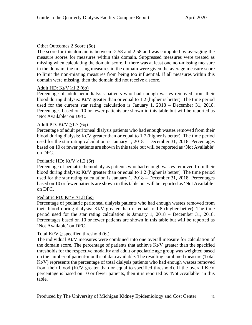# Other Outcomes 2 Score (6o)

The score for this domain is between -2.58 and 2.58 and was computed by averaging the measure scores for measures within this domain. Suppressed measures were treated as missing when calculating the domain score. If there was at least one non-missing measure in the domain, the missing measures in the domain were given the average measure score to limit the non-missing measures from being too influential. If all measures within this domain were missing, then the domain did not receive a score.

# Adult HD: Kt/V  $\geq$ 1.2 (6p)

Percentage of adult hemodialysis patients who had enough wastes removed from their blood during dialysis: Kt/V greater than or equal to 1.2 (higher is better). The time period used for the current star rating calculation is January 1, 2018 – December 31, 2018. Percentages based on 10 or fewer patients are shown in this table but will be reported as 'Not Available' on DFC.

# Adult PD: Kt/V  $\geq$ 1.7 (6q)

Percentage of adult peritoneal dialysis patients who had enough wastes removed from their blood during dialysis: Kt/V greater than or equal to 1.7 (higher is better). The time period used for the star rating calculation is January 1, 2018 – December 31, 2018. Percentages based on 10 or fewer patients are shown in this table but will be reported as 'Not Available' on DFC.

# Pediatric HD: Kt/V  $\geq$ 1.2 (6r)

Percentage of pediatric hemodialysis patients who had enough wastes removed from their blood during dialysis:  $Kt/V$  greater than or equal to 1.2 (higher is better). The time period used for the star rating calculation is January 1, 2018 – December 31, 2018. Percentages based on 10 or fewer patients are shown in this table but will be reported as 'Not Available' on DFC.

### Pediatric PD:  $Kt/V > 1.8$  (6s)

Percentage of pediatric peritoneal dialysis patients who had enough wastes removed from their blood during dialysis:  $Kt/V$  greater than or equal to 1.8 (higher better). The time period used for the star rating calculation is January 1, 2018 – December 31, 2018. Percentages based on 10 or fewer patients are shown in this table but will be reported as 'Not Available' on DFC.

### Total Kt/V  $\geq$  specified threshold (6t)

The individual Kt/V measures were combined into one overall measure for calculation of the domain score. The percentage of patients that achieve Kt/V greater than the specified thresholds for the respective modality and adult or pediatric age group was weighted based on the number of patient-months of data available. The resulting combined measure (Total Kt/V) represents the percentage of total dialysis patients who had enough wastes removed from their blood (Kt/V greater than or equal to specified threshold). If the overall Kt/V percentage is based on 10 or fewer patients, then it is reported as 'Not Available' in this table.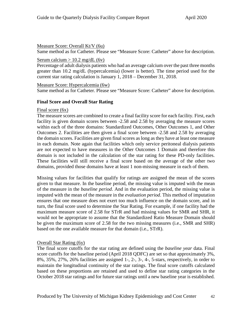#### Measure Score: Overall Kt/V (6u)

Same method as for Catheter. Please see "Measure Score: Catheter" above for description.

#### Serum calcium  $> 10.2$  mg/dL (6v)

Percentage of adult dialysis patients who had an average calcium over the past three months greater than 10.2 mg/dL (hypercalcemia) (lower is better). The time period used for the current star rating calculation is January 1, 2018 – December 31, 2018.

Measure Score: Hypercalcemia (6w)

Same method as for Catheter. Please see "Measure Score: Catheter" above for description.

### **Final Score and Overall Star Rating**

#### Final score  $(6x)$

The measure scores are combined to create a final facility score for each facility. First, each facility is given domain scores between -2.58 and 2.58 by averaging the measure scores within each of the three domains: Standardized Outcomes, Other Outcomes 1, and Other Outcomes 2. Facilities are then given a final score between -2.58 and 2.58 by averaging the domain scores. Facilities are given final scores as long as they have at least one measure in each domain. Note again that facilities which only service peritoneal dialysis patients are not expected to have measures in the Other Outcomes 1 Domain and therefore this domain is not included in the calculation of the star rating for these PD-only facilities. These facilities will still receive a final score based on the average of the other two domains, provided those domains have at least 1 non-missing measure in each of them.

Missing values for facilities that qualify for ratings are assigned the mean of the scores given to that measure. In the baseline period, the missing value is imputed with the mean of the measure in the *baseline period*. And in the evaluation period, the missing value is imputed with the mean of the measure in the *evaluation period*. This method of imputation ensures that one measure does not exert too much influence on the domain score, and in turn, the final score used to determine the Star Rating. For example, if one facility had the maximum measure score of 2.58 for STrR and had missing values for SMR and SHR, it would not be appropriate to assume that the Standardized Ratio Measure Domain should be given the maximum score of 2.58 for the two missing measures (i.e., SMR and SHR) based on the one available measure for that domain (i.e., STrR).

### Overall Star Rating (6y)

The final score cutoffs for the star rating are defined using the *baseline year* data. Final score cutoffs for the baseline period (April 2018 QDFC) are set so that approximately 3%, 8%, 35%, 27%, 26% facilities are assigned 1-, 2-, 3-, 4-, 5-stars, respectively, in order to maintain the longitudinal continuity of the star ratings. The final score cutoffs calculated based on these proportions are retained and used to define star rating categories in the October 2018 star ratings and for future star ratings until a new baseline year is established.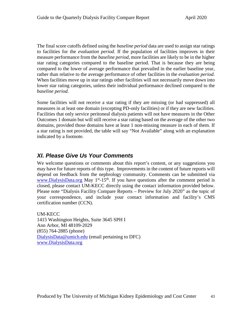The final score cutoffs defined using the *baseline period* data are used to assign star ratings to facilities for the *evaluation period*. If the population of facilities improves in their measure performance from the *baseline period*, more facilities are likely to be in the higher star rating categories compared to the baseline period. That is because they are being compared to the lower of average performance that prevailed in the earlier baseline year, rather than relative to the average performance of other facilities in the *evaluation period*. When facilities move up in star ratings other facilities will not necessarily move down into lower star rating categories, unless their individual performance declined compared to the *baseline period*.

Some facilities will not receive a star rating if they are missing (or had suppressed) all measures in at least one domain (excepting PD-only facilities) or if they are new facilities. Facilities that only service peritoneal dialysis patients will not have measures in the Other Outcomes 1 domain but will still receive a star rating based on the average of the other two domains, provided those domains have at least 1 non-missing measure in each of them. If a star rating is not provided, the table will say "Not Available" along with an explanation indicated by a footnote.

# <span id="page-45-0"></span>*XI. Please Give Us Your Comments*

We welcome questions or comments about this report's content, or any suggestions you may have for future reports of this type. Improvements in the content of future reports will depend on feedback from the nephrology community. Comments can be submitted via [www.DialysisData.org](http://www.dialysisdata.org/) May  $1<sup>st</sup>$ -15<sup>th</sup>. If you have questions after the comment period is closed, please contact UM-KECC directly using the contact information provided below. Please note "Dialysis Facility Compare Reports – Preview for July 2020" as the topic of your correspondence, and include your contact information and facility's CMS certification number (CCN).

UM-KECC 1415 Washington Heights, Suite 3645 SPH I Ann Arbor, MI 48109-2029 (855) 764-2885 (phone) [DialysisData@umich.edu](mailto:Support@DialysisReports.org) (email pertaining to DFC) [www.DialysisData.org](http://www.dialysisdata.org/)